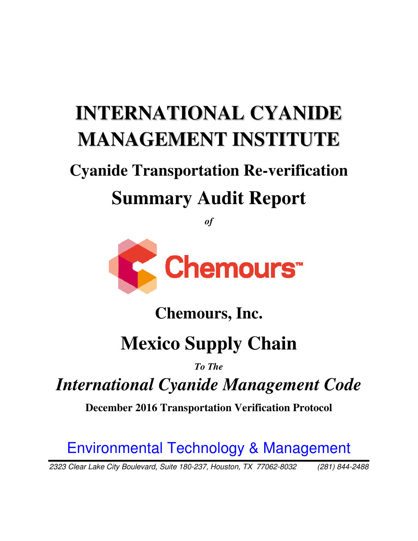# **INTERNATIONAL CYANIDE MANAGEMENT INSTITUTE**

# **Cyanide Transportation Re-verification Summary Audit Report**

*of* 



# **Chemours Chemours, Inc.**

# **Mexico Mexico Supply Chain**

### *To The*

## *International Cyanide Management International Code*

**December 2016 Transportation Verification Protocol** 

# Environmental Technology & Management

2323 Clear Lake City Boulevard, Suite 180 180-237, Houston, TX 77062-8032 (281) 844 8032 (281) 844-2488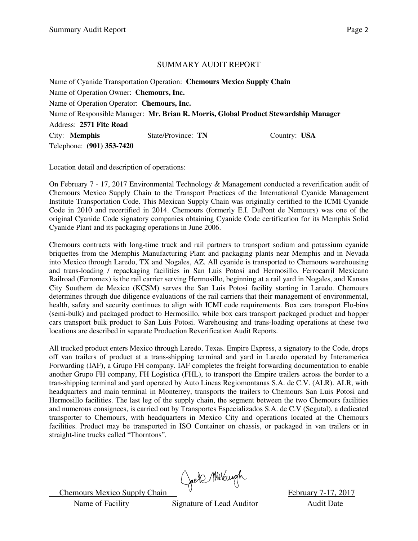#### SUMMARY AUDIT REPORT

Name of Cyanide Transportation Operation: **Chemours Mexico Supply Chain**  Name of Operation Owner: **Chemours, Inc.**  Name of Operation Operator: **Chemours, Inc.** Name of Responsible Manager: **Mr. Brian R. Morris, Global Product Stewardship Manager**  Address: **2571 Fite Road** City: **Memphis** State/Province: **TN** Country: **USA** Telephone: **(901) 353-7420**

Location detail and description of operations:

On February 7 - 17, 2017 Environmental Technology & Management conducted a reverification audit of Chemours Mexico Supply Chain to the Transport Practices of the International Cyanide Management Institute Transportation Code. This Mexican Supply Chain was originally certified to the ICMI Cyanide Code in 2010 and recertified in 2014. Chemours (formerly E.I. DuPont de Nemours) was one of the original Cyanide Code signatory companies obtaining Cyanide Code certification for its Memphis Solid Cyanide Plant and its packaging operations in June 2006.

Chemours contracts with long-time truck and rail partners to transport sodium and potassium cyanide briquettes from the Memphis Manufacturing Plant and packaging plants near Memphis and in Nevada into Mexico through Laredo, TX and Nogales, AZ. All cyanide is transported to Chemours warehousing and trans-loading / repackaging facilities in San Luis Potosi and Hermosillo. Ferrocarril Mexicano Railroad (Ferromex) is the rail carrier serving Hermosillo, beginning at a rail yard in Nogales, and Kansas City Southern de Mexico (KCSM) serves the San Luis Potosi facility starting in Laredo. Chemours determines through due diligence evaluations of the rail carriers that their management of environmental, health, safety and security continues to align with ICMI code requirements. Box cars transport Flo-bins (semi-bulk) and packaged product to Hermosillo, while box cars transport packaged product and hopper cars transport bulk product to San Luis Potosi. Warehousing and trans-loading operations at these two locations are described in separate Production Reverification Audit Reports.

All trucked product enters Mexico through Laredo, Texas. Empire Express, a signatory to the Code, drops off van trailers of product at a trans-shipping terminal and yard in Laredo operated by Interamerica Forwarding (IAF), a Grupo FH company. IAF completes the freight forwarding documentation to enable another Grupo FH company, FH Logistica (FHL), to transport the Empire trailers across the border to a tran-shipping terminal and yard operated by Auto Lineas Regiomontanas S.A. de C.V. (ALR). ALR, with headquarters and main terminal in Monterrey, transports the trailers to Chemours San Luis Potosi and Hermosillo facilities. The last leg of the supply chain, the segment between the two Chemours facilities and numerous consignees, is carried out by Transportes Especializados S.A. de C.V (Segutal), a dedicated transporter to Chemours, with headquarters in Mexico City and operations located at the Chemours facilities. Product may be transported in ISO Container on chassis, or packaged in van trailers or in straight-line trucks called "Thorntons".

Chemours Mexico Supply Chain Chell Multiple Chemours Mexico Supply Chain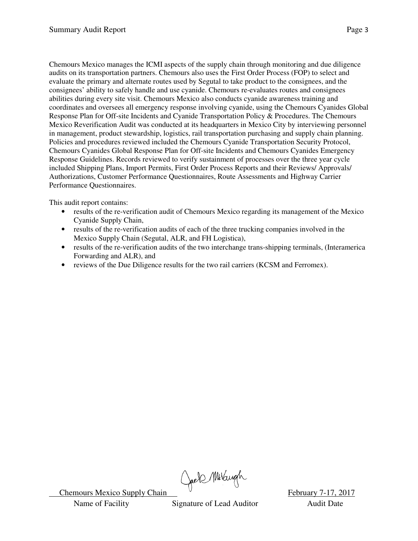Chemours Mexico manages the ICMI aspects of the supply chain through monitoring and due diligence audits on its transportation partners. Chemours also uses the First Order Process (FOP) to select and evaluate the primary and alternate routes used by Segutal to take product to the consignees, and the consignees' ability to safely handle and use cyanide. Chemours re-evaluates routes and consignees abilities during every site visit. Chemours Mexico also conducts cyanide awareness training and coordinates and oversees all emergency response involving cyanide, using the Chemours Cyanides Global Response Plan for Off-site Incidents and Cyanide Transportation Policy & Procedures. The Chemours Mexico Reverification Audit was conducted at its headquarters in Mexico City by interviewing personnel in management, product stewardship, logistics, rail transportation purchasing and supply chain planning. Policies and procedures reviewed included the Chemours Cyanide Transportation Security Protocol, Chemours Cyanides Global Response Plan for Off-site Incidents and Chemours Cyanides Emergency Response Guidelines. Records reviewed to verify sustainment of processes over the three year cycle included Shipping Plans, Import Permits, First Order Process Reports and their Reviews/ Approvals/ Authorizations, Customer Performance Questionnaires, Route Assessments and Highway Carrier Performance Questionnaires.

This audit report contains:

- results of the re-verification audit of Chemours Mexico regarding its management of the Mexico Cyanide Supply Chain,
- results of the re-verification audits of each of the three trucking companies involved in the Mexico Supply Chain (Segutal, ALR, and FH Logistica),
- results of the re-verification audits of the two interchange trans-shipping terminals, (Interamerica Forwarding and ALR), and
- reviews of the Due Diligence results for the two rail carriers (KCSM and Ferromex).

Chemours Mexico Supply Chain Chemours Mexico Supply Chain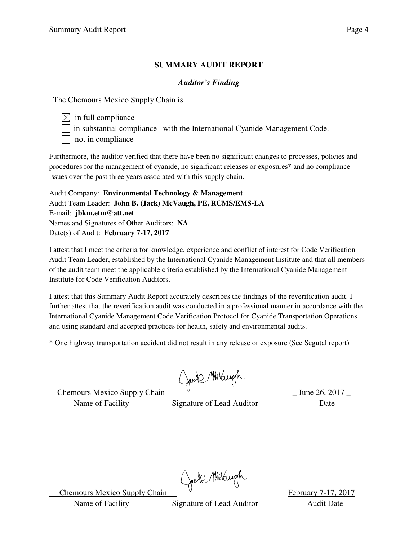#### **SUMMARY AUDIT REPORT**

#### *Auditor's Finding*

The Chemours Mexico Supply Chain is

 $\boxtimes$  in full compliance

in substantial compliance with the International Cyanide Management Code.

 $\Box$  not in compliance

Furthermore, the auditor verified that there have been no significant changes to processes, policies and procedures for the management of cyanide, no significant releases or exposures\* and no compliance issues over the past three years associated with this supply chain.

Audit Company: **Environmental Technology & Management**  Audit Team Leader: **John B. (Jack) McVaugh, PE, RCMS/EMS-LA**  E-mail: **jbkm.etm@att.net**  Names and Signatures of Other Auditors: **NA** Date(s) of Audit: **February 7-17, 2017** 

I attest that I meet the criteria for knowledge, experience and conflict of interest for Code Verification Audit Team Leader, established by the International Cyanide Management Institute and that all members of the audit team meet the applicable criteria established by the International Cyanide Management Institute for Code Verification Auditors.

I attest that this Summary Audit Report accurately describes the findings of the reverification audit. I further attest that the reverification audit was conducted in a professional manner in accordance with the International Cyanide Management Code Verification Protocol for Cyanide Transportation Operations and using standard and accepted practices for health, safety and environmental audits.

\* One highway transportation accident did not result in any release or exposure (See Segutal report)

Chemours Mexico Supply Chain  $\bigcup_{p \in \mathbb{R}} \mathbb{M}$  /  $\bigcup_{p \in \mathbb{N}} \mathbb{M}$  June 26, 2017

Name of Facility Signature of Lead Auditor Date

Chemours Mexico Supply Chain Chell Multiple Chemours Mexico Supply Chain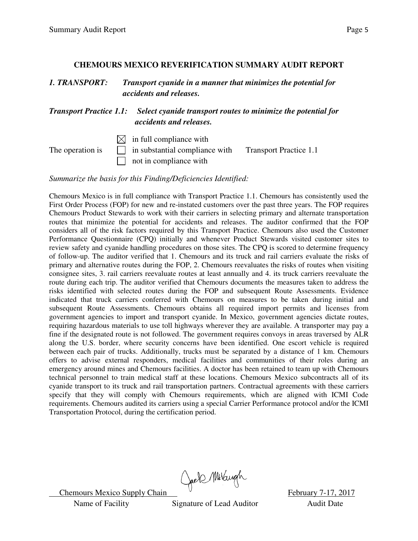#### **CHEMOURS MEXICO REVERIFICATION SUMMARY AUDIT REPORT**

*1. TRANSPORT: Transport cyanide in a manner that minimizes the potential for accidents and releases.* 

*Transport Practice 1.1: Select cyanide transport routes to minimize the potential for accidents and releases.*

 $\boxtimes$  in full compliance with

The operation is  $\Box$  in substantial compliance with Transport Practice 1.1  $\Box$  not in compliance with

*Summarize the basis for this Finding/Deficiencies Identified:* 

Chemours Mexico is in full compliance with Transport Practice 1.1. Chemours has consistently used the First Order Process (FOP) for new and re-instated customers over the past three years. The FOP requires Chemours Product Stewards to work with their carriers in selecting primary and alternate transportation routes that minimize the potential for accidents and releases. The auditor confirmed that the FOP considers all of the risk factors required by this Transport Practice. Chemours also used the Customer Performance Questionnaire (CPQ) initially and whenever Product Stewards visited customer sites to review safety and cyanide handling procedures on those sites. The CPQ is scored to determine frequency of follow-up. The auditor verified that 1. Chemours and its truck and rail carriers evaluate the risks of primary and alternative routes during the FOP, 2. Chemours reevaluates the risks of routes when visiting consignee sites, 3. rail carriers reevaluate routes at least annually and 4. its truck carriers reevaluate the route during each trip. The auditor verified that Chemours documents the measures taken to address the risks identified with selected routes during the FOP and subsequent Route Assessments. Evidence indicated that truck carriers conferred with Chemours on measures to be taken during initial and subsequent Route Assessments. Chemours obtains all required import permits and licenses from government agencies to import and transport cyanide. In Mexico, government agencies dictate routes, requiring hazardous materials to use toll highways wherever they are available. A transporter may pay a fine if the designated route is not followed. The government requires convoys in areas traversed by ALR along the U.S. border, where security concerns have been identified. One escort vehicle is required between each pair of trucks. Additionally, trucks must be separated by a distance of 1 km. Chemours offers to advise external responders, medical facilities and communities of their roles during an emergency around mines and Chemours facilities. A doctor has been retained to team up with Chemours technical personnel to train medical staff at these locations. Chemours Mexico subcontracts all of its cyanide transport to its truck and rail transportation partners. Contractual agreements with these carriers specify that they will comply with Chemours requirements, which are aligned with ICMI Code requirements. Chemours audited its carriers using a special Carrier Performance protocol and/or the ICMI Transportation Protocol, during the certification period.

Chemours Mexico Supply Chain Chels Multiple Chemours Mexico Supply Chain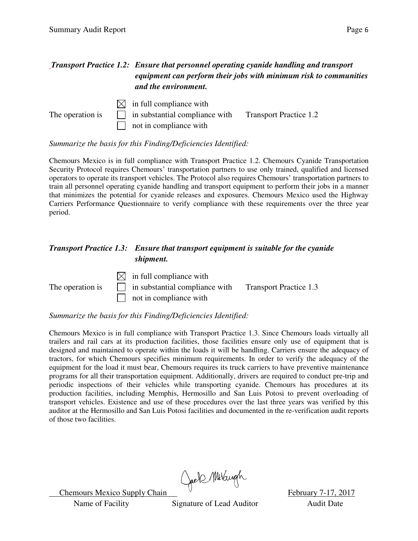#### *Transport Practice 1.2: Ensure that personnel operating cyanide handling and transport equipment can perform their jobs with minimum risk to communities and the environment.*



#### *Summarize the basis for this Finding/Deficiencies Identified:*

Chemours Mexico is in full compliance with Transport Practice 1.2. Chemours Cyanide Transportation Security Protocol requires Chemours' transportation partners to use only trained, qualified and licensed operators to operate its transport vehicles. The Protocol also requires Chemours' transportation partners to train all personnel operating cyanide handling and transport equipment to perform their jobs in a manner that minimizes the potential for cyanide releases and exposures. Chemours Mexico used the Highway Carriers Performance Questionnaire to verify compliance with these requirements over the three year period.

#### *Transport Practice 1.3: Ensure that transport equipment is suitable for the cyanide shipment.*

 $\boxtimes$  in full compliance with The operation is  $\Box$  in substantial compliance with Transport Practice 1.3 not in compliance with

*Summarize the basis for this Finding/Deficiencies Identified:* 

Chemours Mexico is in full compliance with Transport Practice 1.3. Since Chemours loads virtually all trailers and rail cars at its production facilities, those facilities ensure only use of equipment that is designed and maintained to operate within the loads it will be handling. Carriers ensure the adequacy of tractors, for which Chemours specifies minimum requirements. In order to verify the adequacy of the equipment for the load it must bear, Chemours requires its truck carriers to have preventive maintenance programs for all their transportation equipment. Additionally, drivers are required to conduct pre-trip and periodic inspections of their vehicles while transporting cyanide. Chemours has procedures at its production facilities, including Memphis, Hermosillo and San Luis Potosi to prevent overloading of transport vehicles. Existence and use of these procedures over the last three years was verified by this auditor at the Hermosillo and San Luis Potosi facilities and documented in the re-verification audit reports of those two facilities.

Chemours Mexico Supply Chain Chell Multiple Chemours Mexico Supply Chain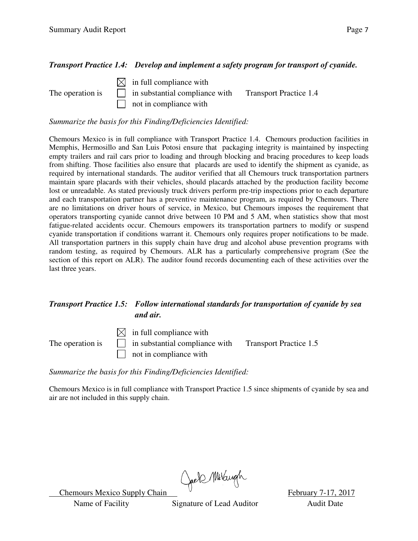#### *Transport Practice 1.4: Develop and implement a safety program for transport of cyanide.*



#### *Summarize the basis for this Finding/Deficiencies Identified:*

Chemours Mexico is in full compliance with Transport Practice 1.4. Chemours production facilities in Memphis, Hermosillo and San Luis Potosi ensure that packaging integrity is maintained by inspecting empty trailers and rail cars prior to loading and through blocking and bracing procedures to keep loads from shifting. Those facilities also ensure that placards are used to identify the shipment as cyanide, as required by international standards. The auditor verified that all Chemours truck transportation partners maintain spare placards with their vehicles, should placards attached by the production facility become lost or unreadable. As stated previously truck drivers perform pre-trip inspections prior to each departure and each transportation partner has a preventive maintenance program, as required by Chemours. There are no limitations on driver hours of service, in Mexico, but Chemours imposes the requirement that operators transporting cyanide cannot drive between 10 PM and 5 AM, when statistics show that most fatigue-related accidents occur. Chemours empowers its transportation partners to modify or suspend cyanide transportation if conditions warrant it. Chemours only requires proper notifications to be made. All transportation partners in this supply chain have drug and alcohol abuse prevention programs with random testing, as required by Chemours. ALR has a particularly comprehensive program (See the section of this report on ALR). The auditor found records documenting each of these activities over the last three years.

#### *Transport Practice 1.5: Follow international standards for transportation of cyanide by sea and air.*

 $\boxtimes$  in full compliance with The operation is  $\Box$  in substantial compliance with Transport Practice 1.5 not in compliance with

*Summarize the basis for this Finding/Deficiencies Identified:* 

Chemours Mexico is in full compliance with Transport Practice 1.5 since shipments of cyanide by sea and air are not included in this supply chain.

Chemours Mexico Supply Chain Chell Multiple Chemours Mexico Supply Chain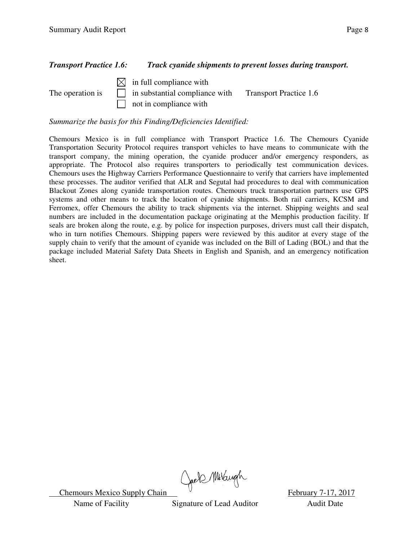#### *Transport Practice 1.6: Track cyanide shipments to prevent losses during transport.*

 $\boxtimes$  in full compliance with The operation is  $\Box$  in substantial compliance with Transport Practice 1.6 not in compliance with

*Summarize the basis for this Finding/Deficiencies Identified:* 

Chemours Mexico is in full compliance with Transport Practice 1.6. The Chemours Cyanide Transportation Security Protocol requires transport vehicles to have means to communicate with the transport company, the mining operation, the cyanide producer and/or emergency responders, as appropriate. The Protocol also requires transporters to periodically test communication devices. Chemours uses the Highway Carriers Performance Questionnaire to verify that carriers have implemented these processes. The auditor verified that ALR and Segutal had procedures to deal with communication Blackout Zones along cyanide transportation routes. Chemours truck transportation partners use GPS systems and other means to track the location of cyanide shipments. Both rail carriers, KCSM and Ferromex, offer Chemours the ability to track shipments via the internet. Shipping weights and seal numbers are included in the documentation package originating at the Memphis production facility. If seals are broken along the route, e.g. by police for inspection purposes, drivers must call their dispatch, who in turn notifies Chemours. Shipping papers were reviewed by this auditor at every stage of the supply chain to verify that the amount of cyanide was included on the Bill of Lading (BOL) and that the package included Material Safety Data Sheets in English and Spanish, and an emergency notification sheet.

Chemours Mexico Supply Chain Chell Multiple Chemours Mexico Supply Chain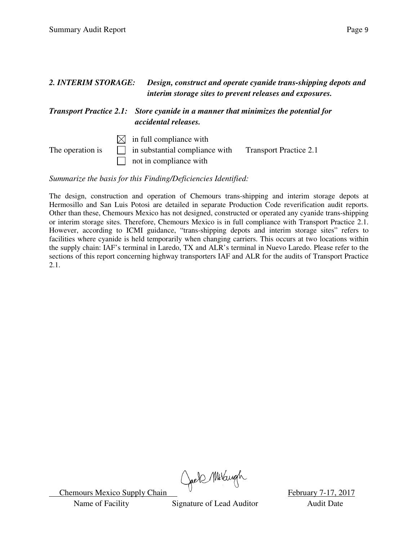| 2. INTERIM STORAGE: |     | interim storage sites to prevent releases and exposures.                                                          | Design, construct and operate cyanide trans-shipping depots and |
|---------------------|-----|-------------------------------------------------------------------------------------------------------------------|-----------------------------------------------------------------|
|                     |     | <b>Transport Practice 2.1:</b> Store cyanide in a manner that minimizes the potential for<br>accidental releases. |                                                                 |
| The operation is    | IXL | in full compliance with<br>in substantial compliance with<br>not in compliance with                               | <b>Transport Practice 2.1</b>                                   |

*Summarize the basis for this Finding/Deficiencies Identified:* 

The design, construction and operation of Chemours trans-shipping and interim storage depots at Hermosillo and San Luis Potosi are detailed in separate Production Code reverification audit reports. Other than these, Chemours Mexico has not designed, constructed or operated any cyanide trans-shipping or interim storage sites. Therefore, Chemours Mexico is in full compliance with Transport Practice 2.1. However, according to ICMI guidance, "trans-shipping depots and interim storage sites" refers to facilities where cyanide is held temporarily when changing carriers. This occurs at two locations within the supply chain: IAF's terminal in Laredo, TX and ALR's terminal in Nuevo Laredo. Please refer to the sections of this report concerning highway transporters IAF and ALR for the audits of Transport Practice 2.1.

Chemours Mexico Supply Chain Chell Millary Rebruary 7-17, 2017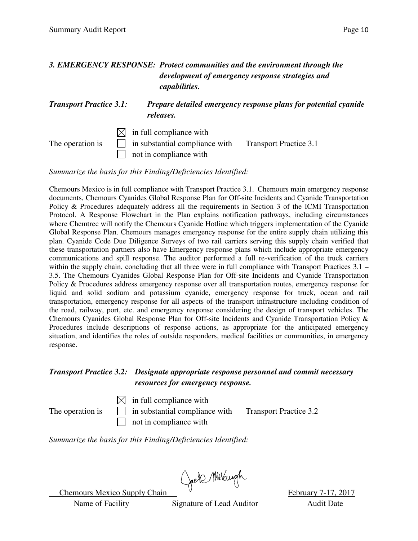#### *3. EMERGENCY RESPONSE: Protect communities and the environment through the development of emergency response strategies and capabilities.*

#### *Transport Practice 3.1: Prepare detailed emergency response plans for potential cyanide releases.*

 $\boxtimes$  in full compliance with The operation is  $\Box$  in substantial compliance with Transport Practice 3.1 not in compliance with

*Summarize the basis for this Finding/Deficiencies Identified:* 

Chemours Mexico is in full compliance with Transport Practice 3.1. Chemours main emergency response documents, Chemours Cyanides Global Response Plan for Off-site Incidents and Cyanide Transportation Policy & Procedures adequately address all the requirements in Section 3 of the ICMI Transportation Protocol. A Response Flowchart in the Plan explains notification pathways, including circumstances where Chemtrec will notify the Chemours Cyanide Hotline which triggers implementation of the Cyanide Global Response Plan. Chemours manages emergency response for the entire supply chain utilizing this plan. Cyanide Code Due Diligence Surveys of two rail carriers serving this supply chain verified that these transportation partners also have Emergency response plans which include appropriate emergency communications and spill response. The auditor performed a full re-verification of the truck carriers within the supply chain, concluding that all three were in full compliance with Transport Practices 3.1 – 3.5. The Chemours Cyanides Global Response Plan for Off-site Incidents and Cyanide Transportation Policy & Procedures address emergency response over all transportation routes, emergency response for liquid and solid sodium and potassium cyanide, emergency response for truck, ocean and rail transportation, emergency response for all aspects of the transport infrastructure including condition of the road, railway, port, etc. and emergency response considering the design of transport vehicles. The Chemours Cyanides Global Response Plan for Off-site Incidents and Cyanide Transportation Policy & Procedures include descriptions of response actions, as appropriate for the anticipated emergency situation, and identifies the roles of outside responders, medical facilities or communities, in emergency response.

#### *Transport Practice 3.2: Designate appropriate response personnel and commit necessary resources for emergency response.*

 $\boxtimes$  in full compliance with

The operation is  $\Box$  in substantial compliance with Transport Practice 3.2 not in compliance with

*Summarize the basis for this Finding/Deficiencies Identified:* 

Chemours Mexico Supply Chain Chels Multiple Chemours Mexico Supply Chain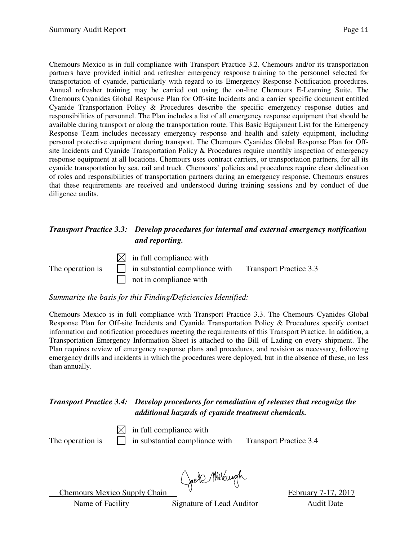Chemours Mexico is in full compliance with Transport Practice 3.2. Chemours and/or its transportation partners have provided initial and refresher emergency response training to the personnel selected for transportation of cyanide, particularly with regard to its Emergency Response Notification procedures. Annual refresher training may be carried out using the on-line Chemours E-Learning Suite. The Chemours Cyanides Global Response Plan for Off-site Incidents and a carrier specific document entitled Cyanide Transportation Policy & Procedures describe the specific emergency response duties and responsibilities of personnel. The Plan includes a list of all emergency response equipment that should be available during transport or along the transportation route. This Basic Equipment List for the Emergency Response Team includes necessary emergency response and health and safety equipment, including personal protective equipment during transport. The Chemours Cyanides Global Response Plan for Offsite Incidents and Cyanide Transportation Policy & Procedures require monthly inspection of emergency response equipment at all locations. Chemours uses contract carriers, or transportation partners, for all its cyanide transportation by sea, rail and truck. Chemours' policies and procedures require clear delineation of roles and responsibilities of transportation partners during an emergency response. Chemours ensures that these requirements are received and understood during training sessions and by conduct of due diligence audits.

#### *Transport Practice 3.3: Develop procedures for internal and external emergency notification and reporting.*

 $\boxtimes$  in full compliance with

The operation is  $\Box$  in substantial compliance with Transport Practice 3.3  $\Box$  not in compliance with

*Summarize the basis for this Finding/Deficiencies Identified:* 

Chemours Mexico is in full compliance with Transport Practice 3.3. The Chemours Cyanides Global Response Plan for Off-site Incidents and Cyanide Transportation Policy & Procedures specify contact information and notification procedures meeting the requirements of this Transport Practice. In addition, a Transportation Emergency Information Sheet is attached to the Bill of Lading on every shipment. The Plan requires review of emergency response plans and procedures, and revision as necessary, following emergency drills and incidents in which the procedures were deployed, but in the absence of these, no less than annually.

#### *Transport Practice 3.4: Develop procedures for remediation of releases that recognize the additional hazards of cyanide treatment chemicals.*

 $\boxtimes$  in full compliance with The operation is  $\Box$  in substantial compliance with Transport Practice 3.4

Chemours Mexico Supply Chain Chef Millary 7-17, 2017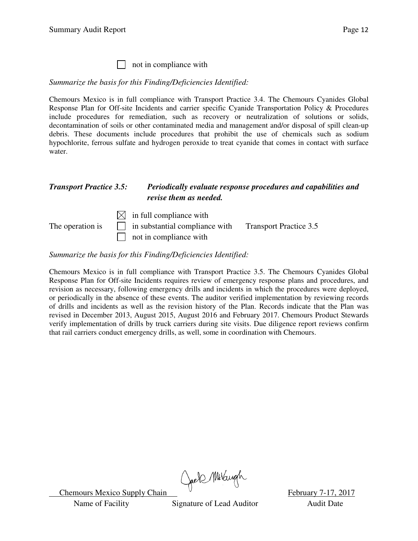| not in compliance with

*Summarize the basis for this Finding/Deficiencies Identified:* 

Chemours Mexico is in full compliance with Transport Practice 3.4. The Chemours Cyanides Global Response Plan for Off-site Incidents and carrier specific Cyanide Transportation Policy & Procedures include procedures for remediation, such as recovery or neutralization of solutions or solids, decontamination of soils or other contaminated media and management and/or disposal of spill clean-up debris. These documents include procedures that prohibit the use of chemicals such as sodium hypochlorite, ferrous sulfate and hydrogen peroxide to treat cyanide that comes in contact with surface water.

#### *Transport Practice 3.5: Periodically evaluate response procedures and capabilities and revise them as needed.*

|                  | $\boxtimes$ in full compliance with   |                               |
|------------------|---------------------------------------|-------------------------------|
| The operation is | $\Box$ in substantial compliance with | <b>Transport Practice 3.5</b> |
|                  | $\Box$ not in compliance with         |                               |

*Summarize the basis for this Finding/Deficiencies Identified:* 

Chemours Mexico is in full compliance with Transport Practice 3.5. The Chemours Cyanides Global Response Plan for Off-site Incidents requires review of emergency response plans and procedures, and revision as necessary, following emergency drills and incidents in which the procedures were deployed, or periodically in the absence of these events. The auditor verified implementation by reviewing records of drills and incidents as well as the revision history of the Plan. Records indicate that the Plan was revised in December 2013, August 2015, August 2016 and February 2017. Chemours Product Stewards verify implementation of drills by truck carriers during site visits. Due diligence report reviews confirm that rail carriers conduct emergency drills, as well, some in coordination with Chemours.

Chemours Mexico Supply Chain Chell Millary h<br>February 7-17, 2017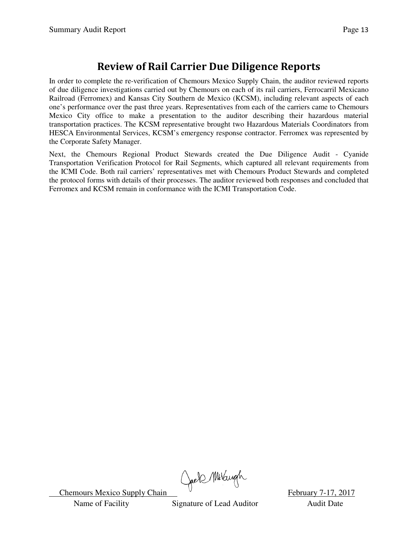### **Review of Rail Carrier Due Diligence Reports**

In order to complete the re-verification of Chemours Mexico Supply Chain, the auditor reviewed reports of due diligence investigations carried out by Chemours on each of its rail carriers, Ferrocarril Mexicano Railroad (Ferromex) and Kansas City Southern de Mexico (KCSM), including relevant aspects of each one's performance over the past three years. Representatives from each of the carriers came to Chemours Mexico City office to make a presentation to the auditor describing their hazardous material transportation practices. The KCSM representative brought two Hazardous Materials Coordinators from HESCA Environmental Services, KCSM's emergency response contractor. Ferromex was represented by the Corporate Safety Manager.

Next, the Chemours Regional Product Stewards created the Due Diligence Audit - Cyanide Transportation Verification Protocol for Rail Segments, which captured all relevant requirements from the ICMI Code. Both rail carriers' representatives met with Chemours Product Stewards and completed the protocol forms with details of their processes. The auditor reviewed both responses and concluded that Ferromex and KCSM remain in conformance with the ICMI Transportation Code.

Chemours Mexico Supply Chain Chell Multiple Chemours Mexico Supply Chain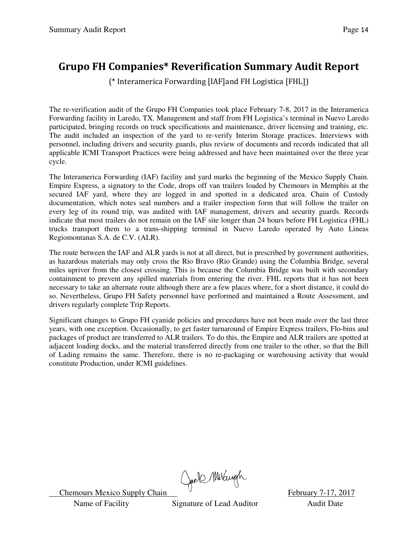### **Grupo FH Companies\* Reverification Summary Audit Report**

(\* Interamerica Forwarding [IAF]and FH Logistica [FHL])

The re-verification audit of the Grupo FH Companies took place February 7-8, 2017 in the Interamerica Forwarding facility in Laredo, TX. Management and staff from FH Logistica's terminal in Nuevo Laredo participated, bringing records on truck specifications and maintenance, driver licensing and training, etc. The audit included an inspection of the yard to re-verify Interim Storage practices. Interviews with personnel, including drivers and security guards, plus review of documents and records indicated that all applicable ICMI Transport Practices were being addressed and have been maintained over the three year cycle.

The Interamerica Forwarding (IAF) facility and yard marks the beginning of the Mexico Supply Chain. Empire Express, a signatory to the Code, drops off van trailers loaded by Chemours in Memphis at the secured IAF yard, where they are logged in and spotted in a dedicated area. Chain of Custody documentation, which notes seal numbers and a trailer inspection form that will follow the trailer on every leg of its round trip, was audited with IAF management, drivers and security guards. Records indicate that most trailers do not remain on the IAF site longer than 24 hours before FH Logistica (FHL) trucks transport them to a trans-shipping terminal in Nuevo Laredo operated by Auto Lineas Regiomontanas S.A. de C.V. (ALR).

The route between the IAF and ALR yards is not at all direct, but is prescribed by government authorities, as hazardous materials may only cross the Rio Bravo (Rio Grande) using the Columbia Bridge, several miles upriver from the closest crossing. This is because the Columbia Bridge was built with secondary containment to prevent any spilled materials from entering the river. FHL reports that it has not been necessary to take an alternate route although there are a few places where, for a short distance, it could do so. Nevertheless, Grupo FH Safety personnel have performed and maintained a Route Assessment, and drivers regularly complete Trip Reports.

Significant changes to Grupo FH cyanide policies and procedures have not been made over the last three years, with one exception. Occasionally, to get faster turnaround of Empire Express trailers, Flo-bins and packages of product are transferred to ALR trailers. To do this, the Empire and ALR trailers are spotted at adjacent loading docks, and the material transferred directly from one trailer to the other, so that the Bill of Lading remains the same. Therefore, there is no re-packaging or warehousing activity that would constitute Production, under ICMI guidelines.

Chemours Mexico Supply Chain Chel Multiple Chemours Mexico Supply Chain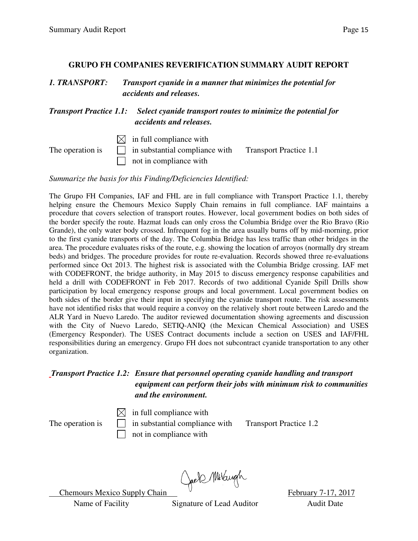#### **GRUPO FH COMPANIES REVERIFICATION SUMMARY AUDIT REPORT**

*1. TRANSPORT: Transport cyanide in a manner that minimizes the potential for accidents and releases.* 

*Transport Practice 1.1: Select cyanide transport routes to minimize the potential for accidents and releases.*

 $\boxtimes$  in full compliance with

The operation is  $\Box$  in substantial compliance with Transport Practice 1.1  $\Box$  not in compliance with

*Summarize the basis for this Finding/Deficiencies Identified:* 

The Grupo FH Companies, IAF and FHL are in full compliance with Transport Practice 1.1, thereby helping ensure the Chemours Mexico Supply Chain remains in full compliance. IAF maintains a procedure that covers selection of transport routes. However, local government bodies on both sides of the border specify the route. Hazmat loads can only cross the Columbia Bridge over the Rio Bravo (Rio Grande), the only water body crossed. Infrequent fog in the area usually burns off by mid-morning, prior to the first cyanide transports of the day. The Columbia Bridge has less traffic than other bridges in the area. The procedure evaluates risks of the route, e.g. showing the location of arroyos (normally dry stream beds) and bridges. The procedure provides for route re-evaluation. Records showed three re-evaluations performed since Oct 2013. The highest risk is associated with the Columbia Bridge crossing. IAF met with CODEFRONT, the bridge authority, in May 2015 to discuss emergency response capabilities and held a drill with CODEFRONT in Feb 2017. Records of two additional Cyanide Spill Drills show participation by local emergency response groups and local government. Local government bodies on both sides of the border give their input in specifying the cyanide transport route. The risk assessments have not identified risks that would require a convoy on the relatively short route between Laredo and the ALR Yard in Nuevo Laredo. The auditor reviewed documentation showing agreements and discussion with the City of Nuevo Laredo, SETIQ-ANIQ (the Mexican Chemical Association) and USES (Emergency Responder). The USES Contract documents include a section on USES and IAF/FHL responsibilities during an emergency. Grupo FH does not subcontract cyanide transportation to any other organization.

#### *Transport Practice 1.2: Ensure that personnel operating cyanide handling and transport equipment can perform their jobs with minimum risk to communities and the environment.*

 $\boxtimes$  in full compliance with

The operation is  $\Box$  in substantial compliance with Transport Practice 1.2 not in compliance with

Chemours Mexico Supply Chain Chels Multiple Chemours Mexico Supply Chain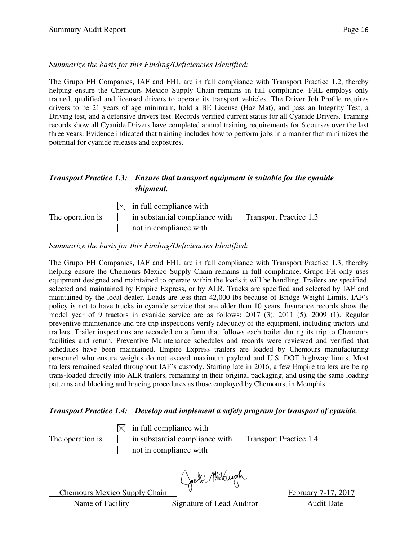#### *Summarize the basis for this Finding/Deficiencies Identified:*

The Grupo FH Companies, IAF and FHL are in full compliance with Transport Practice 1.2, thereby helping ensure the Chemours Mexico Supply Chain remains in full compliance. FHL employs only trained, qualified and licensed drivers to operate its transport vehicles. The Driver Job Profile requires drivers to be 21 years of age minimum, hold a BE License (Haz Mat), and pass an Integrity Test, a Driving test, and a defensive drivers test. Records verified current status for all Cyanide Drivers. Training records show all Cyanide Drivers have completed annual training requirements for 6 courses over the last three years. Evidence indicated that training includes how to perform jobs in a manner that minimizes the potential for cyanide releases and exposures.

#### *Transport Practice 1.3: Ensure that transport equipment is suitable for the cyanide shipment.*

 $\boxtimes$  in full compliance with The operation is  $\Box$  in substantial compliance with Transport Practice 1.3  $\Box$  not in compliance with

*Summarize the basis for this Finding/Deficiencies Identified:* 

The Grupo FH Companies, IAF and FHL are in full compliance with Transport Practice 1.3, thereby helping ensure the Chemours Mexico Supply Chain remains in full compliance. Grupo FH only uses equipment designed and maintained to operate within the loads it will be handling. Trailers are specified, selected and maintained by Empire Express, or by ALR. Trucks are specified and selected by IAF and maintained by the local dealer. Loads are less than 42,000 lbs because of Bridge Weight Limits. IAF's policy is not to have trucks in cyanide service that are older than 10 years. Insurance records show the model year of 9 tractors in cyanide service are as follows: 2017 (3), 2011 (5), 2009 (1). Regular preventive maintenance and pre-trip inspections verify adequacy of the equipment, including tractors and trailers. Trailer inspections are recorded on a form that follows each trailer during its trip to Chemours facilities and return. Preventive Maintenance schedules and records were reviewed and verified that schedules have been maintained. Empire Express trailers are loaded by Chemours manufacturing personnel who ensure weights do not exceed maximum payload and U.S. DOT highway limits. Most trailers remained sealed throughout IAF's custody. Starting late in 2016, a few Empire trailers are being trans-loaded directly into ALR trailers, remaining in their original packaging, and using the same loading patterns and blocking and bracing procedures as those employed by Chemours, in Memphis.

#### *Transport Practice 1.4: Develop and implement a safety program for transport of cyanide.*

 $\boxtimes$  in full compliance with The operation is  $\Box$  in substantial compliance with Transport Practice 1.4  $\Box$  not in compliance with

Chemours Mexico Supply Chain Chell Millaryh February 7-17, 2017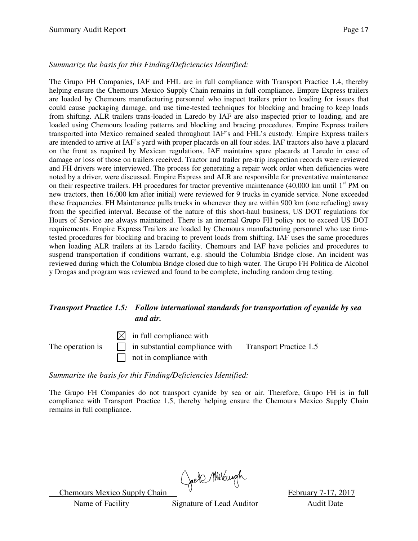#### *Summarize the basis for this Finding/Deficiencies Identified:*

The Grupo FH Companies, IAF and FHL are in full compliance with Transport Practice 1.4, thereby helping ensure the Chemours Mexico Supply Chain remains in full compliance. Empire Express trailers are loaded by Chemours manufacturing personnel who inspect trailers prior to loading for issues that could cause packaging damage, and use time-tested techniques for blocking and bracing to keep loads from shifting. ALR trailers trans-loaded in Laredo by IAF are also inspected prior to loading, and are loaded using Chemours loading patterns and blocking and bracing procedures. Empire Express trailers transported into Mexico remained sealed throughout IAF's and FHL's custody. Empire Express trailers are intended to arrive at IAF's yard with proper placards on all four sides. IAF tractors also have a placard on the front as required by Mexican regulations. IAF maintains spare placards at Laredo in case of damage or loss of those on trailers received. Tractor and trailer pre-trip inspection records were reviewed and FH drivers were interviewed. The process for generating a repair work order when deficiencies were noted by a driver, were discussed. Empire Express and ALR are responsible for preventative maintenance on their respective trailers. FH procedures for tractor preventive maintenance (40,000 km until 1<sup>st</sup> PM on new tractors, then 16,000 km after initial) were reviewed for 9 trucks in cyanide service. None exceeded these frequencies. FH Maintenance pulls trucks in whenever they are within 900 km (one refueling) away from the specified interval. Because of the nature of this short-haul business, US DOT regulations for Hours of Service are always maintained. There is an internal Grupo FH policy not to exceed US DOT requirements. Empire Express Trailers are loaded by Chemours manufacturing personnel who use timetested procedures for blocking and bracing to prevent loads from shifting. IAF uses the same procedures when loading ALR trailers at its Laredo facility. Chemours and IAF have policies and procedures to suspend transportation if conditions warrant, e.g. should the Columbia Bridge close. An incident was reviewed during which the Columbia Bridge closed due to high water. The Grupo FH Politica de Alcohol y Drogas and program was reviewed and found to be complete, including random drug testing.

#### *Transport Practice 1.5: Follow international standards for transportation of cyanide by sea and air.*

 $\boxtimes$  in full compliance with The operation is  $\Box$  in substantial compliance with Transport Practice 1.5 not in compliance with

*Summarize the basis for this Finding/Deficiencies Identified:* 

The Grupo FH Companies do not transport cyanide by sea or air. Therefore, Grupo FH is in full compliance with Transport Practice 1.5, thereby helping ensure the Chemours Mexico Supply Chain remains in full compliance.

Chemours Mexico Supply Chain Chell Millaryh February 7-17, 2017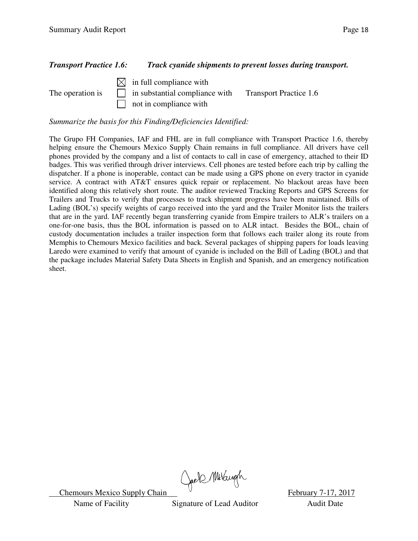#### *Transport Practice 1.6: Track cyanide shipments to prevent losses during transport.*

 $\boxtimes$  in full compliance with The operation is  $\Box$  in substantial compliance with Transport Practice 1.6 not in compliance with

*Summarize the basis for this Finding/Deficiencies Identified:* 

The Grupo FH Companies, IAF and FHL are in full compliance with Transport Practice 1.6, thereby helping ensure the Chemours Mexico Supply Chain remains in full compliance. All drivers have cell phones provided by the company and a list of contacts to call in case of emergency, attached to their ID badges. This was verified through driver interviews. Cell phones are tested before each trip by calling the dispatcher. If a phone is inoperable, contact can be made using a GPS phone on every tractor in cyanide service. A contract with AT&T ensures quick repair or replacement. No blackout areas have been identified along this relatively short route. The auditor reviewed Tracking Reports and GPS Screens for Trailers and Trucks to verify that processes to track shipment progress have been maintained. Bills of Lading (BOL's) specify weights of cargo received into the yard and the Trailer Monitor lists the trailers that are in the yard. IAF recently began transferring cyanide from Empire trailers to ALR's trailers on a one-for-one basis, thus the BOL information is passed on to ALR intact. Besides the BOL, chain of custody documentation includes a trailer inspection form that follows each trailer along its route from Memphis to Chemours Mexico facilities and back. Several packages of shipping papers for loads leaving Laredo were examined to verify that amount of cyanide is included on the Bill of Lading (BOL) and that the package includes Material Safety Data Sheets in English and Spanish, and an emergency notification sheet.

Chemours Mexico Supply Chain Chell Millaryh February 7-17, 2017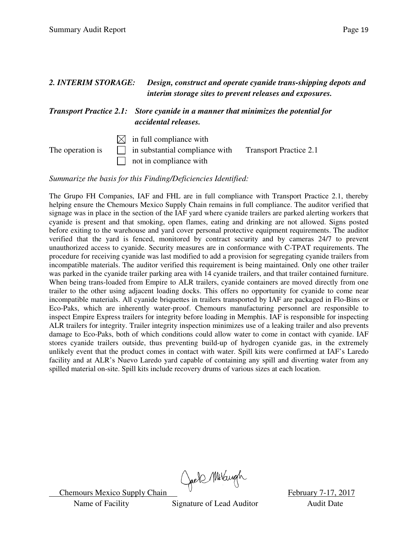| 2. INTERIM STORAGE: |  | Design, construct and operate cyanide trans-shipping depots and<br>interim storage sites to prevent releases and exposures.<br><b>Transport Practice 2.1:</b> Store cyanide in a manner that minimizes the potential for<br>accidental releases. |  |
|---------------------|--|--------------------------------------------------------------------------------------------------------------------------------------------------------------------------------------------------------------------------------------------------|--|
|                     |  |                                                                                                                                                                                                                                                  |  |

*Summarize the basis for this Finding/Deficiencies Identified:* 

The Grupo FH Companies, IAF and FHL are in full compliance with Transport Practice 2.1, thereby helping ensure the Chemours Mexico Supply Chain remains in full compliance. The auditor verified that signage was in place in the section of the IAF yard where cyanide trailers are parked alerting workers that cyanide is present and that smoking, open flames, eating and drinking are not allowed. Signs posted before exiting to the warehouse and yard cover personal protective equipment requirements. The auditor verified that the yard is fenced, monitored by contract security and by cameras 24/7 to prevent unauthorized access to cyanide. Security measures are in conformance with C-TPAT requirements. The procedure for receiving cyanide was last modified to add a provision for segregating cyanide trailers from incompatible materials. The auditor verified this requirement is being maintained. Only one other trailer was parked in the cyanide trailer parking area with 14 cyanide trailers, and that trailer contained furniture. When being trans-loaded from Empire to ALR trailers, cyanide containers are moved directly from one trailer to the other using adjacent loading docks. This offers no opportunity for cyanide to come near incompatible materials. All cyanide briquettes in trailers transported by IAF are packaged in Flo-Bins or Eco-Paks, which are inherently water-proof. Chemours manufacturing personnel are responsible to inspect Empire Express trailers for integrity before loading in Memphis. IAF is responsible for inspecting ALR trailers for integrity. Trailer integrity inspection minimizes use of a leaking trailer and also prevents damage to Eco-Paks, both of which conditions could allow water to come in contact with cyanide. IAF stores cyanide trailers outside, thus preventing build-up of hydrogen cyanide gas, in the extremely unlikely event that the product comes in contact with water. Spill kits were confirmed at IAF's Laredo facility and at ALR's Nuevo Laredo yard capable of containing any spill and diverting water from any spilled material on-site. Spill kits include recovery drums of various sizes at each location.

Chemours Mexico Supply Chain Chell Multiple Chemours Mexico Supply Chain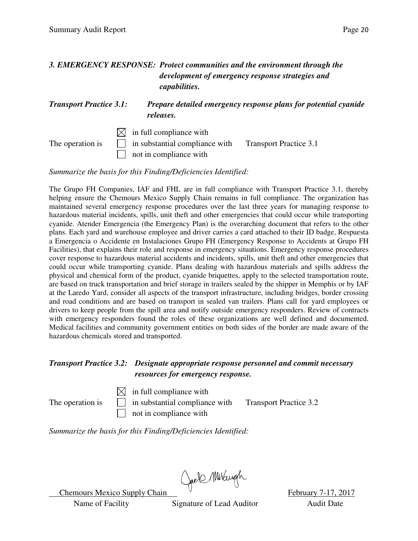#### *3. EMERGENCY RESPONSE: Protect communities and the environment through the development of emergency response strategies and capabilities.*

#### *Transport Practice 3.1: Prepare detailed emergency response plans for potential cyanide releases.*

 $\boxtimes$  in full compliance with The operation is  $\Box$  in substantial compliance with Transport Practice 3.1 not in compliance with

*Summarize the basis for this Finding/Deficiencies Identified:* 

The Grupo FH Companies, IAF and FHL are in full compliance with Transport Practice 3.1, thereby helping ensure the Chemours Mexico Supply Chain remains in full compliance. The organization has maintained several emergency response procedures over the last three years for managing response to hazardous material incidents, spills, unit theft and other emergencies that could occur while transporting cyanide. Atender Emergencia (the Emergency Plan) is the overarching document that refers to the other plans. Each yard and warehouse employee and driver carries a card attached to their ID badge, Respuesta a Emergencia o Accidente en Instalaciones Grupo FH (Emergency Response to Accidents at Grupo FH Facilities), that explains their role and response in emergency situations. Emergency response procedures cover response to hazardous material accidents and incidents, spills, unit theft and other emergencies that could occur while transporting cyanide. Plans dealing with hazardous materials and spills address the physical and chemical form of the product, cyanide briquettes, apply to the selected transportation route, are based on truck transportation and brief storage in trailers sealed by the shipper in Memphis or by IAF at the Laredo Yard, consider all aspects of the transport infrastructure, including bridges, border crossing and road conditions and are based on transport in sealed van trailers. Plans call for yard employees or drivers to keep people from the spill area and notify outside emergency responders. Review of contracts with emergency responders found the roles of these organizations are well defined and documented. Medical facilities and community government entities on both sides of the border are made aware of the hazardous chemicals stored and transported.

#### *Transport Practice 3.2: Designate appropriate response personnel and commit necessary resources for emergency response.*

 $\boxtimes$  in full compliance with The operation is  $\Box$  in substantial compliance with Transport Practice 3.2 not in compliance with

*Summarize the basis for this Finding/Deficiencies Identified:* 

Chemours Mexico Supply Chain Chell Multiple February 7-17, 2017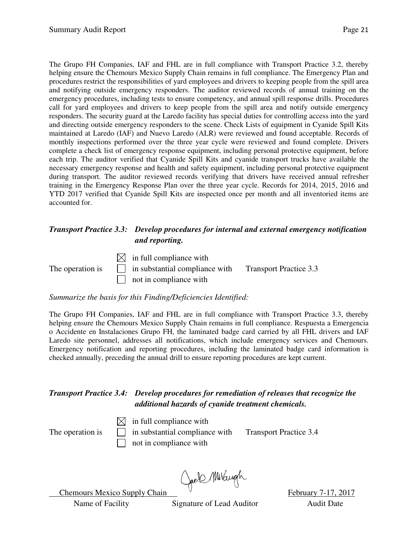The Grupo FH Companies, IAF and FHL are in full compliance with Transport Practice 3.2, thereby helping ensure the Chemours Mexico Supply Chain remains in full compliance. The Emergency Plan and procedures restrict the responsibilities of yard employees and drivers to keeping people from the spill area and notifying outside emergency responders. The auditor reviewed records of annual training on the emergency procedures, including tests to ensure competency, and annual spill response drills. Procedures call for yard employees and drivers to keep people from the spill area and notify outside emergency responders. The security guard at the Laredo facility has special duties for controlling access into the yard and directing outside emergency responders to the scene. Check Lists of equipment in Cyanide Spill Kits maintained at Laredo (IAF) and Nuevo Laredo (ALR) were reviewed and found acceptable. Records of monthly inspections performed over the three year cycle were reviewed and found complete. Drivers complete a check list of emergency response equipment, including personal protective equipment, before each trip. The auditor verified that Cyanide Spill Kits and cyanide transport trucks have available the necessary emergency response and health and safety equipment, including personal protective equipment during transport. The auditor reviewed records verifying that drivers have received annual refresher training in the Emergency Response Plan over the three year cycle. Records for 2014, 2015, 2016 and YTD 2017 verified that Cyanide Spill Kits are inspected once per month and all inventoried items are accounted for.

#### *Transport Practice 3.3: Develop procedures for internal and external emergency notification and reporting.*

 $\boxtimes$  in full compliance with

The operation is  $\Box$  in substantial compliance with Transport Practice 3.3  $\Box$  not in compliance with

*Summarize the basis for this Finding/Deficiencies Identified:* 

The Grupo FH Companies, IAF and FHL are in full compliance with Transport Practice 3.3, thereby helping ensure the Chemours Mexico Supply Chain remains in full compliance. Respuesta a Emergencia o Accidente en Instalaciones Grupo FH, the laminated badge card carried by all FHL drivers and IAF Laredo site personnel, addresses all notifications, which include emergency services and Chemours. Emergency notification and reporting procedures, including the laminated badge card information is checked annually, preceding the annual drill to ensure reporting procedures are kept current.

#### *Transport Practice 3.4: Develop procedures for remediation of releases that recognize the additional hazards of cyanide treatment chemicals.*

 $\boxtimes$  in full compliance with The operation is  $\Box$  in substantial compliance with Transport Practice 3.4 not in compliance with

Chemours Mexico Supply Chain Chel Millaugh February 7-17, 2017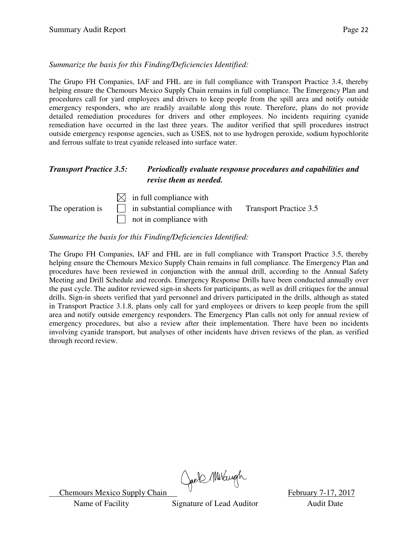*Summarize the basis for this Finding/Deficiencies Identified:* 

The Grupo FH Companies, IAF and FHL are in full compliance with Transport Practice 3.4, thereby helping ensure the Chemours Mexico Supply Chain remains in full compliance. The Emergency Plan and procedures call for yard employees and drivers to keep people from the spill area and notify outside emergency responders, who are readily available along this route. Therefore, plans do not provide detailed remediation procedures for drivers and other employees. No incidents requiring cyanide remediation have occurred in the last three years. The auditor verified that spill procedures instruct outside emergency response agencies, such as USES, not to use hydrogen peroxide, sodium hypochlorite and ferrous sulfate to treat cyanide released into surface water.

#### *Transport Practice 3.5: Periodically evaluate response procedures and capabilities and revise them as needed.*

 $\boxtimes$  in full compliance with The operation is  $\Box$  in substantial compliance with Transport Practice 3.5 not in compliance with

#### *Summarize the basis for this Finding/Deficiencies Identified:*

The Grupo FH Companies, IAF and FHL are in full compliance with Transport Practice 3.5, thereby helping ensure the Chemours Mexico Supply Chain remains in full compliance. The Emergency Plan and procedures have been reviewed in conjunction with the annual drill, according to the Annual Safety Meeting and Drill Schedule and records. Emergency Response Drills have been conducted annually over the past cycle. The auditor reviewed sign-in sheets for participants, as well as drill critiques for the annual drills. Sign-in sheets verified that yard personnel and drivers participated in the drills, although as stated in Transport Practice 3.1.8, plans only call for yard employees or drivers to keep people from the spill area and notify outside emergency responders. The Emergency Plan calls not only for annual review of emergency procedures, but also a review after their implementation. There have been no incidents involving cyanide transport, but analyses of other incidents have driven reviews of the plan, as verified through record review.

Chemours Mexico Supply Chain Chell Millary h<br>February 7-17, 2017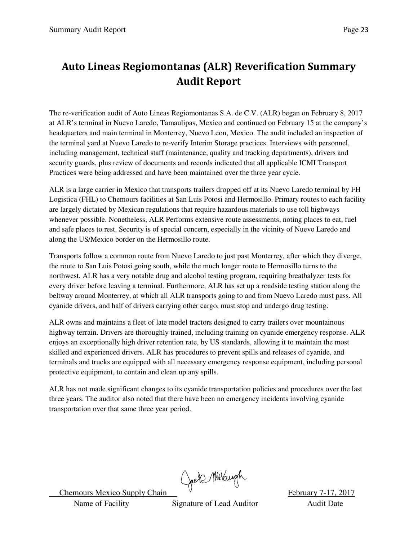### **Auto Lineas Regiomontanas (ALR) Reverification Summary Audit Report**

The re-verification audit of Auto Lineas Regiomontanas S.A. de C.V. (ALR) began on February 8, 2017 at ALR's terminal in Nuevo Laredo, Tamaulipas, Mexico and continued on February 15 at the company's headquarters and main terminal in Monterrey, Nuevo Leon, Mexico. The audit included an inspection of the terminal yard at Nuevo Laredo to re-verify Interim Storage practices. Interviews with personnel, including management, technical staff (maintenance, quality and tracking departments), drivers and security guards, plus review of documents and records indicated that all applicable ICMI Transport Practices were being addressed and have been maintained over the three year cycle.

ALR is a large carrier in Mexico that transports trailers dropped off at its Nuevo Laredo terminal by FH Logistica (FHL) to Chemours facilities at San Luis Potosi and Hermosillo. Primary routes to each facility are largely dictated by Mexican regulations that require hazardous materials to use toll highways whenever possible. Nonetheless, ALR Performs extensive route assessments, noting places to eat, fuel and safe places to rest. Security is of special concern, especially in the vicinity of Nuevo Laredo and along the US/Mexico border on the Hermosillo route.

Transports follow a common route from Nuevo Laredo to just past Monterrey, after which they diverge, the route to San Luis Potosi going south, while the much longer route to Hermosillo turns to the northwest. ALR has a very notable drug and alcohol testing program, requiring breathalyzer tests for every driver before leaving a terminal. Furthermore, ALR has set up a roadside testing station along the beltway around Monterrey, at which all ALR transports going to and from Nuevo Laredo must pass. All cyanide drivers, and half of drivers carrying other cargo, must stop and undergo drug testing.

ALR owns and maintains a fleet of late model tractors designed to carry trailers over mountainous highway terrain. Drivers are thoroughly trained, including training on cyanide emergency response. ALR enjoys an exceptionally high driver retention rate, by US standards, allowing it to maintain the most skilled and experienced drivers. ALR has procedures to prevent spills and releases of cyanide, and terminals and trucks are equipped with all necessary emergency response equipment, including personal protective equipment, to contain and clean up any spills.

ALR has not made significant changes to its cyanide transportation policies and procedures over the last three years. The auditor also noted that there have been no emergency incidents involving cyanide transportation over that same three year period.

Chemours Mexico Supply Chain Chell Millary h<br>February 7-17, 2017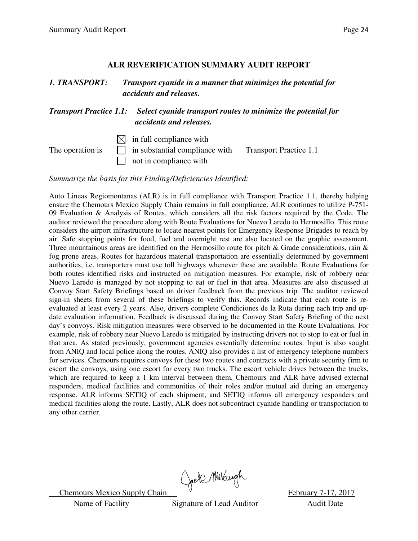#### **ALR REVERIFICATION SUMMARY AUDIT REPORT**

| <b>1. TRANSPORT:</b><br><b>Transport Practice 1.1:</b> |  | Transport cyanide in a manner that minimizes the potential for<br>accidents and releases.<br>Select cyanide transport routes to minimize the potential for<br>accidents and releases. |  |  |
|--------------------------------------------------------|--|---------------------------------------------------------------------------------------------------------------------------------------------------------------------------------------|--|--|
|                                                        |  |                                                                                                                                                                                       |  |  |

*Summarize the basis for this Finding/Deficiencies Identified:* 

Auto Lineas Regiomontanas (ALR) is in full compliance with Transport Practice 1.1, thereby helping ensure the Chemours Mexico Supply Chain remains in full compliance. ALR continues to utilize P-751- 09 Evaluation & Analysis of Routes, which considers all the risk factors required by the Code. The auditor reviewed the procedure along with Route Evaluations for Nuevo Laredo to Hermosillo. This route considers the airport infrastructure to locate nearest points for Emergency Response Brigades to reach by air. Safe stopping points for food, fuel and overnight rest are also located on the graphic assessment. Three mountainous areas are identified on the Hermosillo route for pitch & Grade considerations, rain & fog prone areas. Routes for hazardous material transportation are essentially determined by government authorities, i.e. transporters must use toll highways whenever these are available. Route Evaluations for both routes identified risks and instructed on mitigation measures. For example, risk of robbery near Nuevo Laredo is managed by not stopping to eat or fuel in that area. Measures are also discussed at Convoy Start Safety Briefings based on driver feedback from the previous trip. The auditor reviewed sign-in sheets from several of these briefings to verify this. Records indicate that each route is reevaluated at least every 2 years. Also, drivers complete Condiciones de la Ruta during each trip and update evaluation information. Feedback is discussed during the Convoy Start Safety Briefing of the next day's convoys. Risk mitigation measures were observed to be documented in the Route Evaluations. For example, risk of robbery near Nuevo Laredo is mitigated by instructing drivers not to stop to eat or fuel in that area. As stated previously, government agencies essentially determine routes. Input is also sought from ANIQ and local police along the routes. ANIQ also provides a list of emergency telephone numbers for services. Chemours requires convoys for these two routes and contracts with a private security firm to escort the convoys, using one escort for every two trucks. The escort vehicle drives between the trucks, which are required to keep a 1 km interval between them. Chemours and ALR have advised external responders, medical facilities and communities of their roles and/or mutual aid during an emergency response. ALR informs SETIQ of each shipment, and SETIQ informs all emergency responders and medical facilities along the route. Lastly, ALR does not subcontract cyanide handling or transportation to any other carrier.

Chemours Mexico Supply Chain Chell Millaryh February 7-17, 2017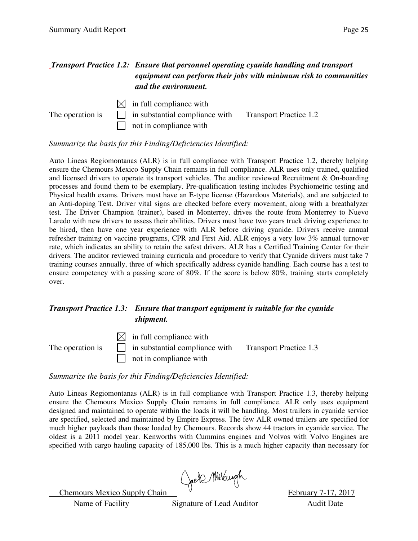#### *Transport Practice 1.2: Ensure that personnel operating cyanide handling and transport equipment can perform their jobs with minimum risk to communities and the environment.*



*Summarize the basis for this Finding/Deficiencies Identified:* 

Auto Lineas Regiomontanas (ALR) is in full compliance with Transport Practice 1.2, thereby helping ensure the Chemours Mexico Supply Chain remains in full compliance. ALR uses only trained, qualified and licensed drivers to operate its transport vehicles. The auditor reviewed Recruitment & On-boarding processes and found them to be exemplary. Pre-qualification testing includes Psychiometric testing and Physical health exams. Drivers must have an E-type license (Hazardous Materials), and are subjected to an Anti-doping Test. Driver vital signs are checked before every movement, along with a breathalyzer test. The Driver Champion (trainer), based in Monterrey, drives the route from Monterrey to Nuevo Laredo with new drivers to assess their abilities. Drivers must have two years truck driving experience to be hired, then have one year experience with ALR before driving cyanide. Drivers receive annual refresher training on vaccine programs, CPR and First Aid. ALR enjoys a very low 3% annual turnover rate, which indicates an ability to retain the safest drivers. ALR has a Certified Training Center for their drivers. The auditor reviewed training curricula and procedure to verify that Cyanide drivers must take 7 training courses annually, three of which specifically address cyanide handling. Each course has a test to ensure competency with a passing score of 80%. If the score is below 80%, training starts completely over.

#### *Transport Practice 1.3: Ensure that transport equipment is suitable for the cyanide shipment.*

 $\boxtimes$  in full compliance with The operation is  $\Box$  in substantial compliance with Transport Practice 1.3 not in compliance with

#### *Summarize the basis for this Finding/Deficiencies Identified:*

Auto Lineas Regiomontanas (ALR) is in full compliance with Transport Practice 1.3, thereby helping ensure the Chemours Mexico Supply Chain remains in full compliance. ALR only uses equipment designed and maintained to operate within the loads it will be handling. Most trailers in cyanide service are specified, selected and maintained by Empire Express. The few ALR owned trailers are specified for much higher payloads than those loaded by Chemours. Records show 44 tractors in cyanide service. The oldest is a 2011 model year. Kenworths with Cummins engines and Volvos with Volvo Engines are specified with cargo hauling capacity of 185,000 lbs. This is a much higher capacity than necessary for

Chemours Mexico Supply Chain Goels Millaugh February 7-17, 2017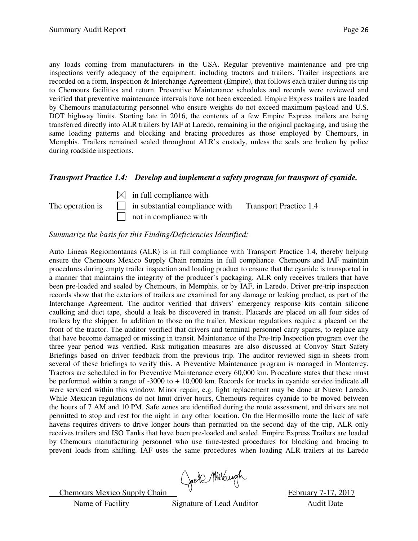any loads coming from manufacturers in the USA. Regular preventive maintenance and pre-trip inspections verify adequacy of the equipment, including tractors and trailers. Trailer inspections are recorded on a form, Inspection & Interchange Agreement (Empire), that follows each trailer during its trip to Chemours facilities and return. Preventive Maintenance schedules and records were reviewed and verified that preventive maintenance intervals have not been exceeded. Empire Express trailers are loaded by Chemours manufacturing personnel who ensure weights do not exceed maximum payload and U.S. DOT highway limits. Starting late in 2016, the contents of a few Empire Express trailers are being transferred directly into ALR trailers by IAF at Laredo, remaining in the original packaging, and using the same loading patterns and blocking and bracing procedures as those employed by Chemours, in Memphis. Trailers remained sealed throughout ALR's custody, unless the seals are broken by police during roadside inspections.

#### *Transport Practice 1.4: Develop and implement a safety program for transport of cyanide.*

 $\boxtimes$  in full compliance with The operation is  $\Box$  in substantial compliance with Transport Practice 1.4  $\Box$  not in compliance with

#### *Summarize the basis for this Finding/Deficiencies Identified:*

Auto Lineas Regiomontanas (ALR) is in full compliance with Transport Practice 1.4, thereby helping ensure the Chemours Mexico Supply Chain remains in full compliance. Chemours and IAF maintain procedures during empty trailer inspection and loading product to ensure that the cyanide is transported in a manner that maintains the integrity of the producer's packaging. ALR only receives trailers that have been pre-loaded and sealed by Chemours, in Memphis, or by IAF, in Laredo. Driver pre-trip inspection records show that the exteriors of trailers are examined for any damage or leaking product, as part of the Interchange Agreement. The auditor verified that drivers' emergency response kits contain silicone caulking and duct tape, should a leak be discovered in transit. Placards are placed on all four sides of trailers by the shipper. In addition to those on the trailer, Mexican regulations require a placard on the front of the tractor. The auditor verified that drivers and terminal personnel carry spares, to replace any that have become damaged or missing in transit. Maintenance of the Pre-trip Inspection program over the three year period was verified. Risk mitigation measures are also discussed at Convoy Start Safety Briefings based on driver feedback from the previous trip. The auditor reviewed sign-in sheets from several of these briefings to verify this. A Preventive Maintenance program is managed in Monterrey. Tractors are scheduled in for Preventive Maintenance every 60,000 km. Procedure states that these must be performed within a range of -3000 to + 10,000 km. Records for trucks in cyanide service indicate all were serviced within this window. Minor repair, e.g. light replacement may be done at Nuevo Laredo. While Mexican regulations do not limit driver hours, Chemours requires cyanide to be moved between the hours of 7 AM and 10 PM. Safe zones are identified during the route assessment, and drivers are not permitted to stop and rest for the night in any other location. On the Hermosillo route the lack of safe havens requires drivers to drive longer hours than permitted on the second day of the trip, ALR only receives trailers and ISO Tanks that have been pre-loaded and sealed. Empire Express Trailers are loaded by Chemours manufacturing personnel who use time-tested procedures for blocking and bracing to prevent loads from shifting. IAF uses the same procedures when loading ALR trailers at its Laredo

Chemours Mexico Supply Chain Cael Millaugh February 7-17, 2017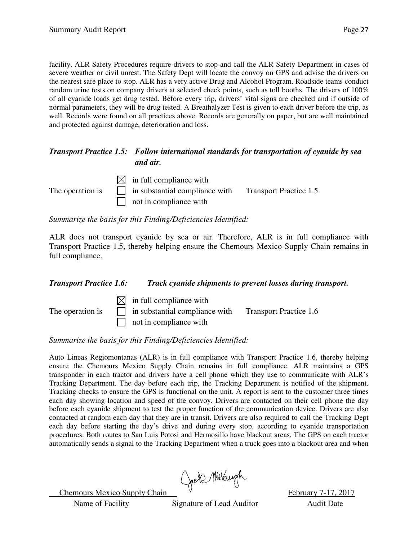facility. ALR Safety Procedures require drivers to stop and call the ALR Safety Department in cases of severe weather or civil unrest. The Safety Dept will locate the convoy on GPS and advise the drivers on the nearest safe place to stop. ALR has a very active Drug and Alcohol Program. Roadside teams conduct random urine tests on company drivers at selected check points, such as toll booths. The drivers of 100% of all cyanide loads get drug tested. Before every trip, drivers' vital signs are checked and if outside of normal parameters, they will be drug tested. A Breathalyzer Test is given to each driver before the trip, as well. Records were found on all practices above. Records are generally on paper, but are well maintained and protected against damage, deterioration and loss.

#### *Transport Practice 1.5: Follow international standards for transportation of cyanide by sea and air.*

 $\boxtimes$  in full compliance with The operation is  $\Box$  in substantial compliance with Transport Practice 1.5 not in compliance with

*Summarize the basis for this Finding/Deficiencies Identified:* 

ALR does not transport cyanide by sea or air. Therefore, ALR is in full compliance with Transport Practice 1.5, thereby helping ensure the Chemours Mexico Supply Chain remains in full compliance.

#### *Transport Practice 1.6: Track cyanide shipments to prevent losses during transport.*

The operation is

|              | $\boxtimes$ in full compliance with   |                               |
|--------------|---------------------------------------|-------------------------------|
| $\mathbf{s}$ | $\Box$ in substantial compliance with | <b>Transport Practice 1.6</b> |
|              | not in compliance with                |                               |

*Summarize the basis for this Finding/Deficiencies Identified:* 

Auto Lineas Regiomontanas (ALR) is in full compliance with Transport Practice 1.6, thereby helping ensure the Chemours Mexico Supply Chain remains in full compliance. ALR maintains a GPS transponder in each tractor and drivers have a cell phone which they use to communicate with ALR's Tracking Department. The day before each trip, the Tracking Department is notified of the shipment. Tracking checks to ensure the GPS is functional on the unit. A report is sent to the customer three times each day showing location and speed of the convoy. Drivers are contacted on their cell phone the day before each cyanide shipment to test the proper function of the communication device. Drivers are also contacted at random each day that they are in transit. Drivers are also required to call the Tracking Dept each day before starting the day's drive and during every stop, according to cyanide transportation procedures. Both routes to San Luis Potosi and Hermosillo have blackout areas. The GPS on each tractor automatically sends a signal to the Tracking Department when a truck goes into a blackout area and when

Chemours Mexico Supply Chain Creek Millaryh February 7-17, 2017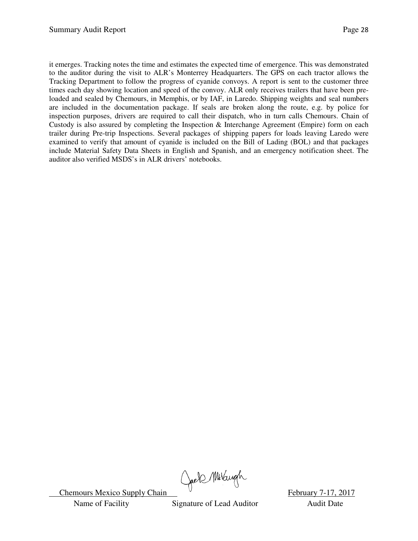it emerges. Tracking notes the time and estimates the expected time of emergence. This was demonstrated to the auditor during the visit to ALR's Monterrey Headquarters. The GPS on each tractor allows the Tracking Department to follow the progress of cyanide convoys. A report is sent to the customer three times each day showing location and speed of the convoy. ALR only receives trailers that have been preloaded and sealed by Chemours, in Memphis, or by IAF, in Laredo. Shipping weights and seal numbers are included in the documentation package. If seals are broken along the route, e.g. by police for inspection purposes, drivers are required to call their dispatch, who in turn calls Chemours. Chain of Custody is also assured by completing the Inspection & Interchange Agreement (Empire) form on each trailer during Pre-trip Inspections. Several packages of shipping papers for loads leaving Laredo were examined to verify that amount of cyanide is included on the Bill of Lading (BOL) and that packages include Material Safety Data Sheets in English and Spanish, and an emergency notification sheet. The auditor also verified MSDS's in ALR drivers' notebooks.

Chemours Mexico Supply Chain Chell Multiple Chemours Mexico Supply Chain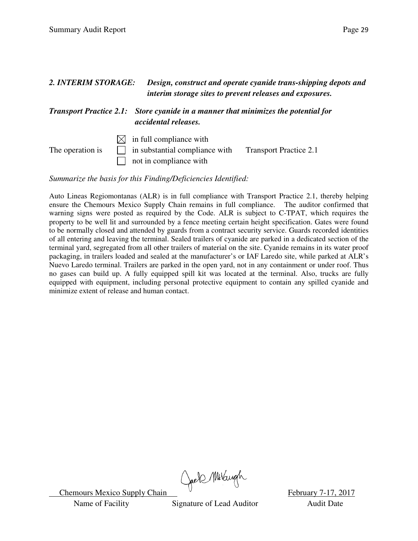| 2. INTERIM STORAGE: |     | Design, construct and operate cyanide trans-shipping depots and<br>interim storage sites to prevent releases and exposures. |                               |
|---------------------|-----|-----------------------------------------------------------------------------------------------------------------------------|-------------------------------|
|                     |     | <b>Transport Practice 2.1:</b> Store cyanide in a manner that minimizes the potential for<br>accidental releases.           |                               |
| The operation is    | IXI | in full compliance with<br>in substantial compliance with<br>not in compliance with                                         | <b>Transport Practice 2.1</b> |

*Summarize the basis for this Finding/Deficiencies Identified:* 

Auto Lineas Regiomontanas (ALR) is in full compliance with Transport Practice 2.1, thereby helping ensure the Chemours Mexico Supply Chain remains in full compliance. The auditor confirmed that warning signs were posted as required by the Code. ALR is subject to C-TPAT, which requires the property to be well lit and surrounded by a fence meeting certain height specification. Gates were found to be normally closed and attended by guards from a contract security service. Guards recorded identities of all entering and leaving the terminal. Sealed trailers of cyanide are parked in a dedicated section of the terminal yard, segregated from all other trailers of material on the site. Cyanide remains in its water proof packaging, in trailers loaded and sealed at the manufacturer's or IAF Laredo site, while parked at ALR's Nuevo Laredo terminal. Trailers are parked in the open yard, not in any containment or under roof. Thus no gases can build up. A fully equipped spill kit was located at the terminal. Also, trucks are fully equipped with equipment, including personal protective equipment to contain any spilled cyanide and minimize extent of release and human contact.

Chemours Mexico Supply Chain Chell Multiple Chemours Mexico Supply Chain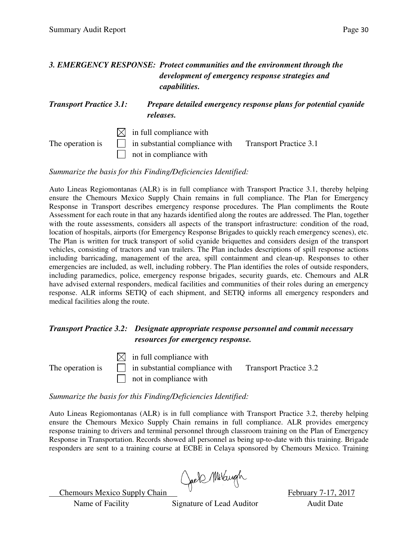#### *3. EMERGENCY RESPONSE: Protect communities and the environment through the development of emergency response strategies and capabilities.*

#### *Transport Practice 3.1: Prepare detailed emergency response plans for potential cyanide releases.*

 $\boxtimes$  in full compliance with The operation is  $\Box$  in substantial compliance with Transport Practice 3.1 not in compliance with

*Summarize the basis for this Finding/Deficiencies Identified:* 

Auto Lineas Regiomontanas (ALR) is in full compliance with Transport Practice 3.1, thereby helping ensure the Chemours Mexico Supply Chain remains in full compliance. The Plan for Emergency Response in Transport describes emergency response procedures. The Plan compliments the Route Assessment for each route in that any hazards identified along the routes are addressed. The Plan, together with the route assessments, considers all aspects of the transport infrastructure: condition of the road, location of hospitals, airports (for Emergency Response Brigades to quickly reach emergency scenes), etc. The Plan is written for truck transport of solid cyanide briquettes and considers design of the transport vehicles, consisting of tractors and van trailers. The Plan includes descriptions of spill response actions including barricading, management of the area, spill containment and clean-up. Responses to other emergencies are included, as well, including robbery. The Plan identifies the roles of outside responders, including paramedics, police, emergency response brigades, security guards, etc. Chemours and ALR have advised external responders, medical facilities and communities of their roles during an emergency response. ALR informs SETIQ of each shipment, and SETIQ informs all emergency responders and medical facilities along the route.

#### *Transport Practice 3.2: Designate appropriate response personnel and commit necessary resources for emergency response.*

 $\boxtimes$  in full compliance with The operation is  $\Box$  in substantial compliance with Transport Practice 3.2 not in compliance with

*Summarize the basis for this Finding/Deficiencies Identified:* 

Auto Lineas Regiomontanas (ALR) is in full compliance with Transport Practice 3.2, thereby helping ensure the Chemours Mexico Supply Chain remains in full compliance. ALR provides emergency response training to drivers and terminal personnel through classroom training on the Plan of Emergency Response in Transportation. Records showed all personnel as being up-to-date with this training. Brigade responders are sent to a training course at ECBE in Celaya sponsored by Chemours Mexico. Training

Chemours Mexico Supply Chain Creek Millaryh February 7-17, 2017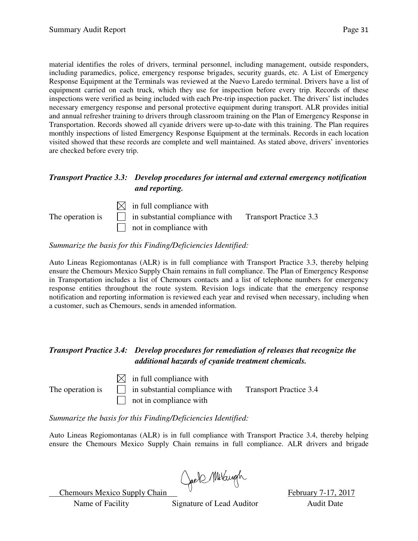material identifies the roles of drivers, terminal personnel, including management, outside responders, including paramedics, police, emergency response brigades, security guards, etc. A List of Emergency Response Equipment at the Terminals was reviewed at the Nuevo Laredo terminal. Drivers have a list of equipment carried on each truck, which they use for inspection before every trip. Records of these inspections were verified as being included with each Pre-trip inspection packet. The drivers' list includes necessary emergency response and personal protective equipment during transport. ALR provides initial and annual refresher training to drivers through classroom training on the Plan of Emergency Response in Transportation. Records showed all cyanide drivers were up-to-date with this training. The Plan requires monthly inspections of listed Emergency Response Equipment at the terminals. Records in each location visited showed that these records are complete and well maintained. As stated above, drivers' inventories are checked before every trip.

#### *Transport Practice 3.3: Develop procedures for internal and external emergency notification and reporting.*



#### *Summarize the basis for this Finding/Deficiencies Identified:*

Auto Lineas Regiomontanas (ALR) is in full compliance with Transport Practice 3.3, thereby helping ensure the Chemours Mexico Supply Chain remains in full compliance. The Plan of Emergency Response in Transportation includes a list of Chemours contacts and a list of telephone numbers for emergency response entities throughout the route system. Revision logs indicate that the emergency response notification and reporting information is reviewed each year and revised when necessary, including when a customer, such as Chemours, sends in amended information.

#### *Transport Practice 3.4: Develop procedures for remediation of releases that recognize the additional hazards of cyanide treatment chemicals.*

 $\boxtimes$  in full compliance with

The operation is  $\Box$  in substantial compliance with Transport Practice 3.4  $\Box$  not in compliance with

*Summarize the basis for this Finding/Deficiencies Identified:* 

Auto Lineas Regiomontanas (ALR) is in full compliance with Transport Practice 3.4, thereby helping ensure the Chemours Mexico Supply Chain remains in full compliance. ALR drivers and brigade

Chemours Mexico Supply Chain Goels Millaryh February 7-17, 2017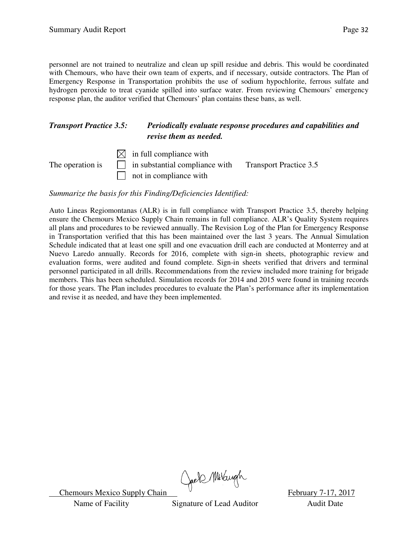personnel are not trained to neutralize and clean up spill residue and debris. This would be coordinated with Chemours, who have their own team of experts, and if necessary, outside contractors. The Plan of Emergency Response in Transportation prohibits the use of sodium hypochlorite, ferrous sulfate and hydrogen peroxide to treat cyanide spilled into surface water. From reviewing Chemours' emergency response plan, the auditor verified that Chemours' plan contains these bans, as well.

#### *Transport Practice 3.5: Periodically evaluate response procedures and capabilities and revise them as needed.*

 $\boxtimes$  in full compliance with The operation is  $\Box$  in substantial compliance with Transport Practice 3.5 not in compliance with

*Summarize the basis for this Finding/Deficiencies Identified:* 

Auto Lineas Regiomontanas (ALR) is in full compliance with Transport Practice 3.5, thereby helping ensure the Chemours Mexico Supply Chain remains in full compliance. ALR's Quality System requires all plans and procedures to be reviewed annually. The Revision Log of the Plan for Emergency Response in Transportation verified that this has been maintained over the last 3 years. The Annual Simulation Schedule indicated that at least one spill and one evacuation drill each are conducted at Monterrey and at Nuevo Laredo annually. Records for 2016, complete with sign-in sheets, photographic review and evaluation forms, were audited and found complete. Sign-in sheets verified that drivers and terminal personnel participated in all drills. Recommendations from the review included more training for brigade members. This has been scheduled. Simulation records for 2014 and 2015 were found in training records for those years. The Plan includes procedures to evaluate the Plan's performance after its implementation and revise it as needed, and have they been implemented.

Chemours Mexico Supply Chain Chell Millary h<br>February 7-17, 2017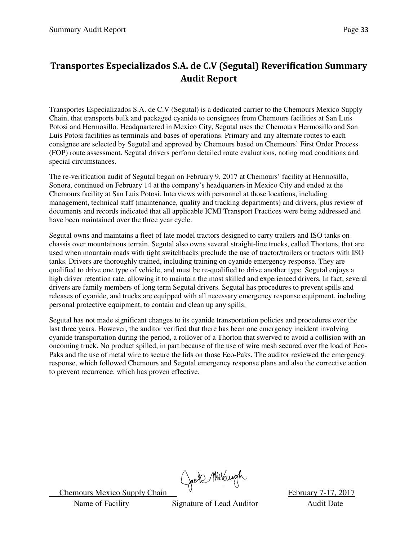### **Transportes Especializados S.A. de C.V (Segutal) Reverification Summary Audit Report**

Transportes Especializados S.A. de C.V (Segutal) is a dedicated carrier to the Chemours Mexico Supply Chain, that transports bulk and packaged cyanide to consignees from Chemours facilities at San Luis Potosi and Hermosillo. Headquartered in Mexico City, Segutal uses the Chemours Hermosillo and San Luis Potosi facilities as terminals and bases of operations. Primary and any alternate routes to each consignee are selected by Segutal and approved by Chemours based on Chemours' First Order Process (FOP) route assessment. Segutal drivers perform detailed route evaluations, noting road conditions and special circumstances.

The re-verification audit of Segutal began on February 9, 2017 at Chemours' facility at Hermosillo, Sonora, continued on February 14 at the company's headquarters in Mexico City and ended at the Chemours facility at San Luis Potosi. Interviews with personnel at those locations, including management, technical staff (maintenance, quality and tracking departments) and drivers, plus review of documents and records indicated that all applicable ICMI Transport Practices were being addressed and have been maintained over the three year cycle.

Segutal owns and maintains a fleet of late model tractors designed to carry trailers and ISO tanks on chassis over mountainous terrain. Segutal also owns several straight-line trucks, called Thortons, that are used when mountain roads with tight switchbacks preclude the use of tractor/trailers or tractors with ISO tanks. Drivers are thoroughly trained, including training on cyanide emergency response. They are qualified to drive one type of vehicle, and must be re-qualified to drive another type. Segutal enjoys a high driver retention rate, allowing it to maintain the most skilled and experienced drivers. In fact, several drivers are family members of long term Segutal drivers. Segutal has procedures to prevent spills and releases of cyanide, and trucks are equipped with all necessary emergency response equipment, including personal protective equipment, to contain and clean up any spills.

Segutal has not made significant changes to its cyanide transportation policies and procedures over the last three years. However, the auditor verified that there has been one emergency incident involving cyanide transportation during the period, a rollover of a Thorton that swerved to avoid a collision with an oncoming truck. No product spilled, in part because of the use of wire mesh secured over the load of Eco-Paks and the use of metal wire to secure the lids on those Eco-Paks. The auditor reviewed the emergency response, which followed Chemours and Segutal emergency response plans and also the corrective action to prevent recurrence, which has proven effective.

Chemours Mexico Supply Chain Chels Multiple February 7-17, 2017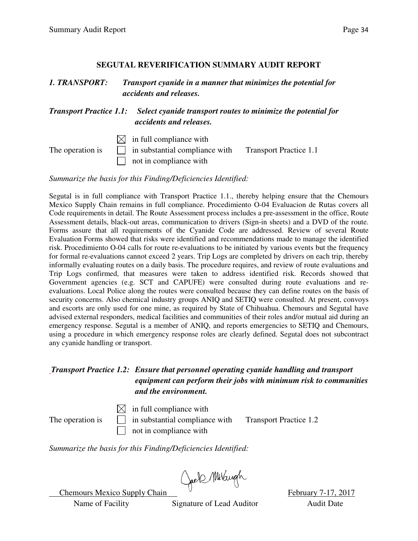#### **SEGUTAL REVERIFICATION SUMMARY AUDIT REPORT**

| 1. TRANSPORT:<br><b>Transport Practice 1.1:</b> |  | Transport cyanide in a manner that minimizes the potential for<br>accidents and releases.<br>Select cyanide transport routes to minimize the potential for<br>accidents and releases. |  |  |
|-------------------------------------------------|--|---------------------------------------------------------------------------------------------------------------------------------------------------------------------------------------|--|--|
|                                                 |  |                                                                                                                                                                                       |  |  |

*Summarize the basis for this Finding/Deficiencies Identified:* 

Segutal is in full compliance with Transport Practice 1.1., thereby helping ensure that the Chemours Mexico Supply Chain remains in full compliance. Procedimiento O-04 Evaluacion de Rutas covers all Code requirements in detail. The Route Assessment process includes a pre-assessment in the office, Route Assessment details, black-out areas, communication to drivers (Sign-in sheets) and a DVD of the route. Forms assure that all requirements of the Cyanide Code are addressed. Review of several Route Evaluation Forms showed that risks were identified and recommendations made to manage the identified risk. Procedimiento O-04 calls for route re-evaluations to be initiated by various events but the frequency for formal re-evaluations cannot exceed 2 years. Trip Logs are completed by drivers on each trip, thereby informally evaluating routes on a daily basis. The procedure requires, and review of route evaluations and Trip Logs confirmed, that measures were taken to address identified risk. Records showed that Government agencies (e.g. SCT and CAPUFE) were consulted during route evaluations and reevaluations. Local Police along the routes were consulted because they can define routes on the basis of security concerns. Also chemical industry groups ANIQ and SETIQ were consulted. At present, convoys and escorts are only used for one mine, as required by State of Chihuahua. Chemours and Segutal have advised external responders, medical facilities and communities of their roles and/or mutual aid during an emergency response. Segutal is a member of ANIQ, and reports emergencies to SETIQ and Chemours, using a procedure in which emergency response roles are clearly defined. Segutal does not subcontract any cyanide handling or transport.

#### *Transport Practice 1.2: Ensure that personnel operating cyanide handling and transport equipment can perform their jobs with minimum risk to communities and the environment.*

 $\boxtimes$  in full compliance with The operation is  $\Box$  in substantial compliance with Transport Practice 1.2 not in compliance with

*Summarize the basis for this Finding/Deficiencies Identified:* 

Chemours Mexico Supply Chain Chell Multiple February 7-17, 2017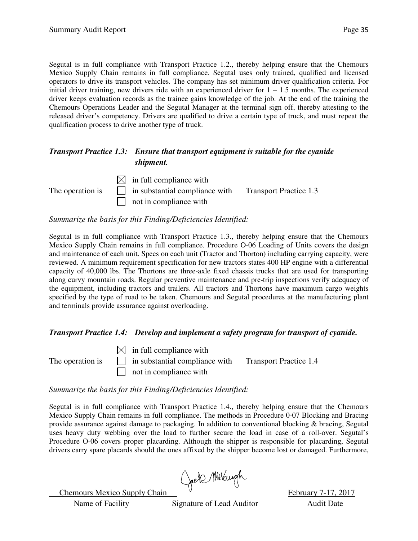Segutal is in full compliance with Transport Practice 1.2., thereby helping ensure that the Chemours Mexico Supply Chain remains in full compliance. Segutal uses only trained, qualified and licensed operators to drive its transport vehicles. The company has set minimum driver qualification criteria. For initial driver training, new drivers ride with an experienced driver for  $1 - 1.5$  months. The experienced driver keeps evaluation records as the trainee gains knowledge of the job. At the end of the training the Chemours Operations Leader and the Segutal Manager at the terminal sign off, thereby attesting to the released driver's competency. Drivers are qualified to drive a certain type of truck, and must repeat the qualification process to drive another type of truck.

#### *Transport Practice 1.3: Ensure that transport equipment is suitable for the cyanide shipment.*

 $\boxtimes$  in full compliance with The operation is  $\Box$  in substantial compliance with Transport Practice 1.3  $\Box$  not in compliance with

*Summarize the basis for this Finding/Deficiencies Identified:* 

Segutal is in full compliance with Transport Practice 1.3., thereby helping ensure that the Chemours Mexico Supply Chain remains in full compliance. Procedure O-06 Loading of Units covers the design and maintenance of each unit. Specs on each unit (Tractor and Thorton) including carrying capacity, were reviewed. A minimum requirement specification for new tractors states 400 HP engine with a differential capacity of 40,000 lbs. The Thortons are three-axle fixed chassis trucks that are used for transporting along curvy mountain roads. Regular preventive maintenance and pre-trip inspections verify adequacy of the equipment, including tractors and trailers. All tractors and Thortons have maximum cargo weights specified by the type of road to be taken. Chemours and Segutal procedures at the manufacturing plant and terminals provide assurance against overloading.

#### *Transport Practice 1.4: Develop and implement a safety program for transport of cyanide.*

 $\bowtie$  in full compliance with The operation is  $\Box$  in substantial compliance with Transport Practice 1.4  $\Box$  not in compliance with

*Summarize the basis for this Finding/Deficiencies Identified:* 

Segutal is in full compliance with Transport Practice 1.4., thereby helping ensure that the Chemours Mexico Supply Chain remains in full compliance. The methods in Procedure 0-07 Blocking and Bracing provide assurance against damage to packaging. In addition to conventional blocking & bracing, Segutal uses heavy duty webbing over the load to further secure the load in case of a roll-over. Segutal's Procedure O-06 covers proper placarding. Although the shipper is responsible for placarding, Segutal drivers carry spare placards should the ones affixed by the shipper become lost or damaged. Furthermore,

Chemours Mexico Supply Chain Creek Millaryh February 7-17, 2017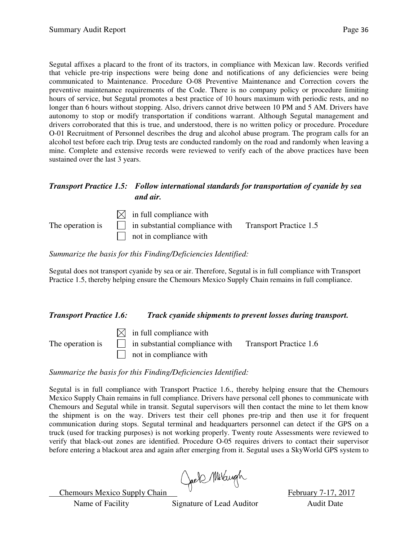Segutal affixes a placard to the front of its tractors, in compliance with Mexican law. Records verified that vehicle pre-trip inspections were being done and notifications of any deficiencies were being communicated to Maintenance. Procedure O-08 Preventive Maintenance and Correction covers the preventive maintenance requirements of the Code. There is no company policy or procedure limiting hours of service, but Segutal promotes a best practice of 10 hours maximum with periodic rests, and no longer than 6 hours without stopping. Also, drivers cannot drive between 10 PM and 5 AM. Drivers have autonomy to stop or modify transportation if conditions warrant. Although Segutal management and drivers corroborated that this is true, and understood, there is no written policy or procedure. Procedure O-01 Recruitment of Personnel describes the drug and alcohol abuse program. The program calls for an alcohol test before each trip. Drug tests are conducted randomly on the road and randomly when leaving a mine. Complete and extensive records were reviewed to verify each of the above practices have been sustained over the last 3 years.

#### *Transport Practice 1.5: Follow international standards for transportation of cyanide by sea and air.*

 $\boxtimes$  in full compliance with The operation is  $\Box$  in substantial compliance with Transport Practice 1.5 not in compliance with

*Summarize the basis for this Finding/Deficiencies Identified:* 

Segutal does not transport cyanide by sea or air. Therefore, Segutal is in full compliance with Transport Practice 1.5, thereby helping ensure the Chemours Mexico Supply Chain remains in full compliance.

#### *Transport Practice 1.6: Track cyanide shipments to prevent losses during transport.*

 $\boxtimes$  in full compliance with The operation is  $\Box$  in substantial compliance with Transport Practice 1.6 not in compliance with

*Summarize the basis for this Finding/Deficiencies Identified:* 

Segutal is in full compliance with Transport Practice 1.6., thereby helping ensure that the Chemours Mexico Supply Chain remains in full compliance. Drivers have personal cell phones to communicate with Chemours and Segutal while in transit. Segutal supervisors will then contact the mine to let them know the shipment is on the way. Drivers test their cell phones pre-trip and then use it for frequent communication during stops. Segutal terminal and headquarters personnel can detect if the GPS on a truck (used for tracking purposes) is not working properly. Twenty route Assessments were reviewed to verify that black-out zones are identified. Procedure O-05 requires drivers to contact their supervisor before entering a blackout area and again after emerging from it. Segutal uses a SkyWorld GPS system to

Chemours Mexico Supply Chain Creek Millary Rebruary 7-17, 2017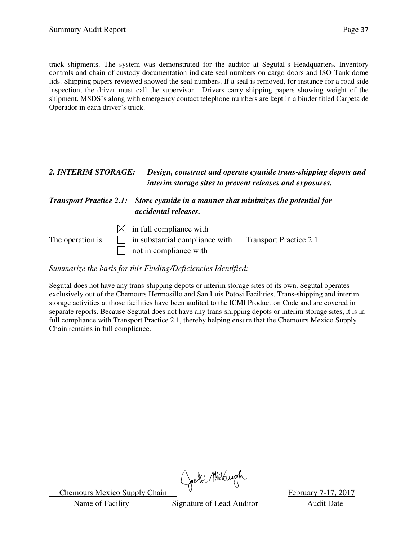track shipments. The system was demonstrated for the auditor at Segutal's Headquarters**.** Inventory controls and chain of custody documentation indicate seal numbers on cargo doors and ISO Tank dome lids. Shipping papers reviewed showed the seal numbers. If a seal is removed, for instance for a road side inspection, the driver must call the supervisor. Drivers carry shipping papers showing weight of the shipment. MSDS's along with emergency contact telephone numbers are kept in a binder titled Carpeta de Operador in each driver's truck.

### *2. INTERIM STORAGE: Design, construct and operate cyanide trans-shipping depots and interim storage sites to prevent releases and exposures.*

#### *Transport Practice 2.1: Store cyanide in a manner that minimizes the potential for accidental releases.*

 $\boxtimes$  in full compliance with The operation is  $\Box$  in substantial compliance with Transport Practice 2.1 not in compliance with

*Summarize the basis for this Finding/Deficiencies Identified:* 

Segutal does not have any trans-shipping depots or interim storage sites of its own. Segutal operates exclusively out of the Chemours Hermosillo and San Luis Potosi Facilities. Trans-shipping and interim storage activities at those facilities have been audited to the ICMI Production Code and are covered in separate reports. Because Segutal does not have any trans-shipping depots or interim storage sites, it is in full compliance with Transport Practice 2.1, thereby helping ensure that the Chemours Mexico Supply Chain remains in full compliance.

Chemours Mexico Supply Chain Chell Millaryh February 7-17, 2017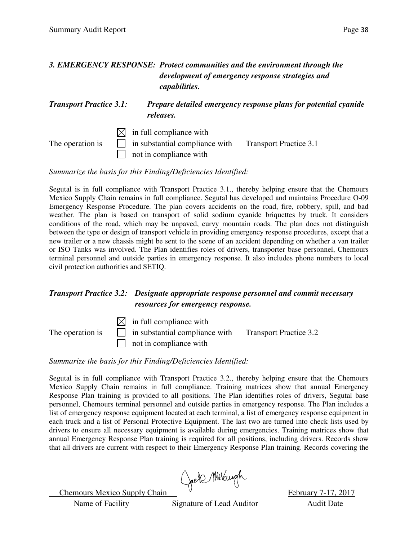#### *3. EMERGENCY RESPONSE: Protect communities and the environment through the development of emergency response strategies and capabilities.*

#### *Transport Practice 3.1: Prepare detailed emergency response plans for potential cyanide releases.*

 $\boxtimes$  in full compliance with The operation is  $\Box$  in substantial compliance with Transport Practice 3.1 not in compliance with

*Summarize the basis for this Finding/Deficiencies Identified:* 

Segutal is in full compliance with Transport Practice 3.1., thereby helping ensure that the Chemours Mexico Supply Chain remains in full compliance. Segutal has developed and maintains Procedure O-09 Emergency Response Procedure. The plan covers accidents on the road, fire, robbery, spill, and bad weather. The plan is based on transport of solid sodium cyanide briquettes by truck. It considers conditions of the road, which may be unpaved, curvy mountain roads. The plan does not distinguish between the type or design of transport vehicle in providing emergency response procedures, except that a new trailer or a new chassis might be sent to the scene of an accident depending on whether a van trailer or ISO Tanks was involved. The Plan identifies roles of drivers, transporter base personnel, Chemours terminal personnel and outside parties in emergency response. It also includes phone numbers to local civil protection authorities and SETIQ.

#### *Transport Practice 3.2: Designate appropriate response personnel and commit necessary resources for emergency response.*



#### *Summarize the basis for this Finding/Deficiencies Identified:*

Segutal is in full compliance with Transport Practice 3.2., thereby helping ensure that the Chemours Mexico Supply Chain remains in full compliance. Training matrices show that annual Emergency Response Plan training is provided to all positions. The Plan identifies roles of drivers, Segutal base personnel, Chemours terminal personnel and outside parties in emergency response. The Plan includes a list of emergency response equipment located at each terminal, a list of emergency response equipment in each truck and a list of Personal Protective Equipment. The last two are turned into check lists used by drivers to ensure all necessary equipment is available during emergencies. Training matrices show that annual Emergency Response Plan training is required for all positions, including drivers. Records show that all drivers are current with respect to their Emergency Response Plan training. Records covering the

Chemours Mexico Supply Chain Greek Millaugh February 7-17, 2017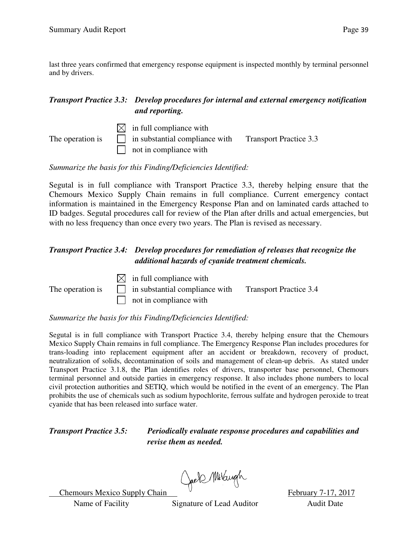last three years confirmed that emergency response equipment is inspected monthly by terminal personnel and by drivers.

#### *Transport Practice 3.3: Develop procedures for internal and external emergency notification and reporting.*

 $\boxtimes$  in full compliance with The operation is  $\Box$  in substantial compliance with Transport Practice 3.3  $\Box$  not in compliance with

*Summarize the basis for this Finding/Deficiencies Identified:* 

Segutal is in full compliance with Transport Practice 3.3, thereby helping ensure that the Chemours Mexico Supply Chain remains in full compliance. Current emergency contact information is maintained in the Emergency Response Plan and on laminated cards attached to ID badges. Segutal procedures call for review of the Plan after drills and actual emergencies, but with no less frequency than once every two years. The Plan is revised as necessary.

#### *Transport Practice 3.4: Develop procedures for remediation of releases that recognize the additional hazards of cyanide treatment chemicals.*

 $\boxtimes$  in full compliance with The operation is  $\Box$  in substantial compliance with Transport Practice 3.4 not in compliance with

*Summarize the basis for this Finding/Deficiencies Identified:* 

Segutal is in full compliance with Transport Practice 3.4, thereby helping ensure that the Chemours Mexico Supply Chain remains in full compliance. The Emergency Response Plan includes procedures for trans-loading into replacement equipment after an accident or breakdown, recovery of product, neutralization of solids, decontamination of soils and management of clean-up debris. As stated under Transport Practice 3.1.8, the Plan identifies roles of drivers, transporter base personnel, Chemours terminal personnel and outside parties in emergency response. It also includes phone numbers to local civil protection authorities and SETIQ, which would be notified in the event of an emergency. The Plan prohibits the use of chemicals such as sodium hypochlorite, ferrous sulfate and hydrogen peroxide to treat cyanide that has been released into surface water.

*Transport Practice 3.5: Periodically evaluate response procedures and capabilities and revise them as needed.*

Chemours Mexico Supply Chain Chef Millary 7-17, 2017